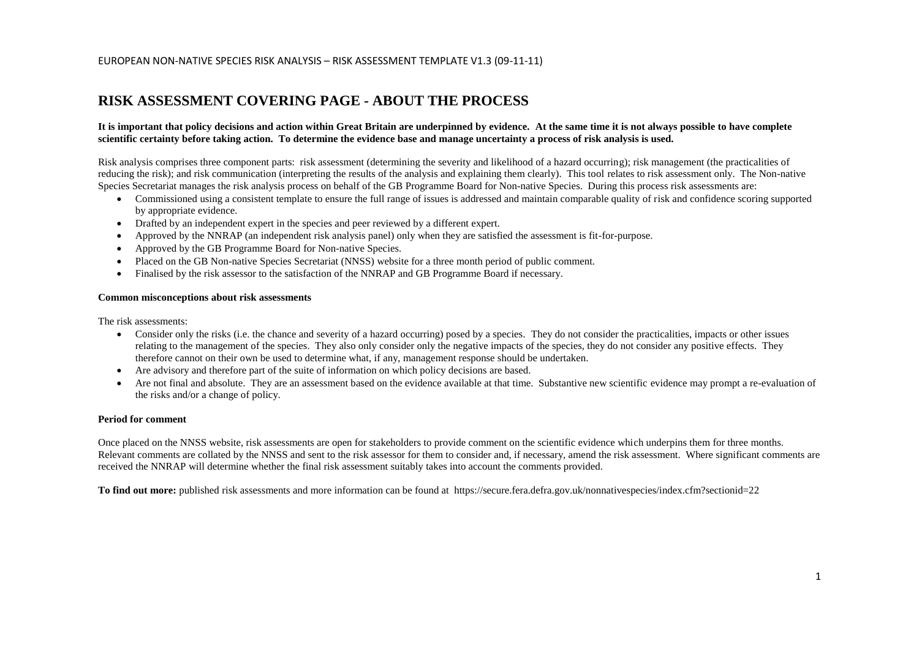## **RISK ASSESSMENT COVERING PAGE - ABOUT THE PROCESS**

#### **It is important that policy decisions and action within Great Britain are underpinned by evidence. At the same time it is not always possible to have complete scientific certainty before taking action. To determine the evidence base and manage uncertainty a process of risk analysis is used.**

Risk analysis comprises three component parts: risk assessment (determining the severity and likelihood of a hazard occurring); risk management (the practicalities of reducing the risk); and risk communication (interpreting the results of the analysis and explaining them clearly). This tool relates to risk assessment only. The Non-native Species Secretariat manages the risk analysis process on behalf of the GB Programme Board for Non-native Species. During this process risk assessments are:

- Commissioned using a consistent template to ensure the full range of issues is addressed and maintain comparable quality of risk and confidence scoring supported by appropriate evidence.
- Drafted by an independent expert in the species and peer reviewed by a different expert.
- $\bullet$ Approved by the NNRAP (an independent risk analysis panel) only when they are satisfied the assessment is fit-for-purpose.
- $\bullet$ Approved by the GB Programme Board for Non-native Species.
- $\bullet$ Placed on the GB Non-native Species Secretariat (NNSS) website for a three month period of public comment.
- $\bullet$ Finalised by the risk assessor to the satisfaction of the NNRAP and GB Programme Board if necessary.

#### **Common misconceptions about risk assessments**

The risk assessments:

- Consider only the risks (i.e. the chance and severity of a hazard occurring) posed by a species. They do not consider the practicalities, impacts or other issues relating to the management of the species. They also only consider only the negative impacts of the species, they do not consider any positive effects. They therefore cannot on their own be used to determine what, if any, management response should be undertaken.
- $\bullet$ Are advisory and therefore part of the suite of information on which policy decisions are based.
- $\bullet$ Are not final and absolute. They are an assessment based on the evidence available at that time. Substantive new scientific evidence may prompt a re-evaluation of the risks and/or a change of policy.

#### **Period for comment**

Once placed on the NNSS website, risk assessments are open for stakeholders to provide comment on the scientific evidence which underpins them for three months. Relevant comments are collated by the NNSS and sent to the risk assessor for them to consider and, if necessary, amend the risk assessment. Where significant comments are received the NNRAP will determine whether the final risk assessment suitably takes into account the comments provided.

**To find out more:** published risk assessments and more information can be found at https://secure.fera.defra.gov.uk/nonnativespecies/index.cfm?sectionid=22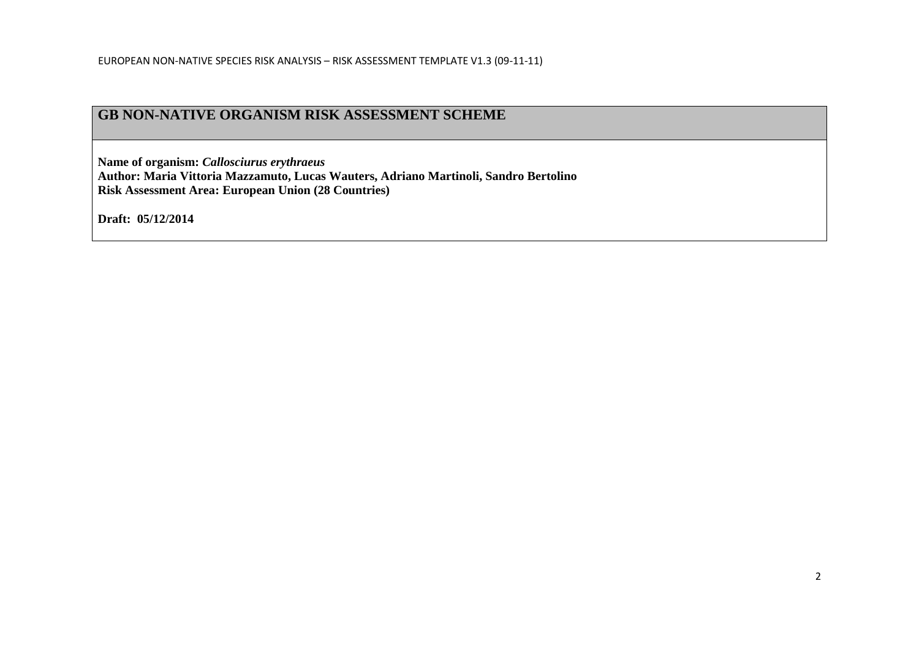## **GB NON-NATIVE ORGANISM RISK ASSESSMENT SCHEME**

**Name of organism:** *Callosciurus erythraeus*  **Author: Maria Vittoria Mazzamuto, Lucas Wauters, Adriano Martinoli, Sandro Bertolino Risk Assessment Area: European Union (28 Countries)**

**Draft: 05/12/2014**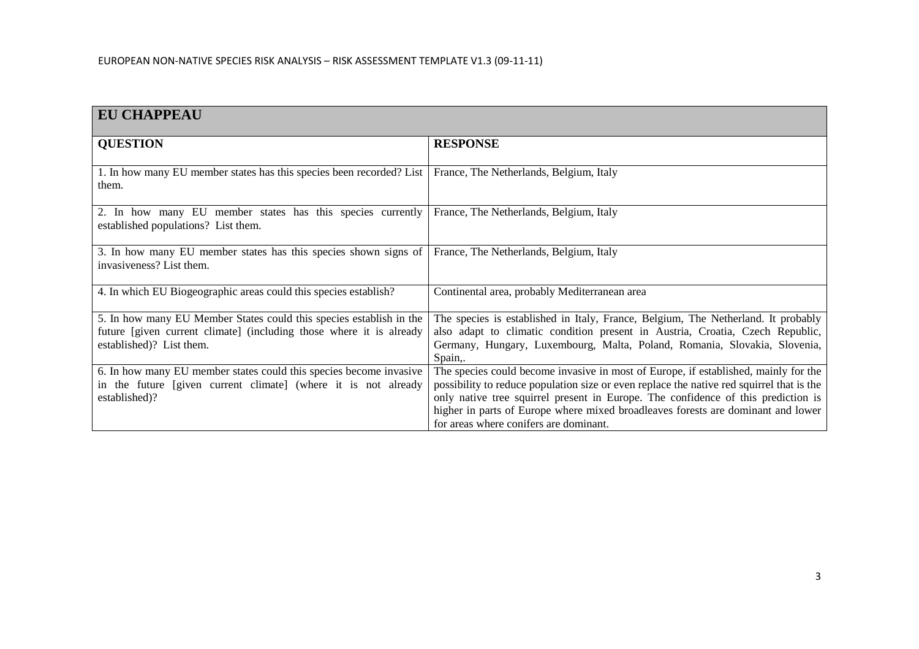| <b>EU CHAPPEAU</b>                                                                                                                                                     |                                                                                                                                                                                                                                                                                                                                                                                                     |
|------------------------------------------------------------------------------------------------------------------------------------------------------------------------|-----------------------------------------------------------------------------------------------------------------------------------------------------------------------------------------------------------------------------------------------------------------------------------------------------------------------------------------------------------------------------------------------------|
| <b>QUESTION</b>                                                                                                                                                        | <b>RESPONSE</b>                                                                                                                                                                                                                                                                                                                                                                                     |
| 1. In how many EU member states has this species been recorded? List<br>them.                                                                                          | France, The Netherlands, Belgium, Italy                                                                                                                                                                                                                                                                                                                                                             |
| 2. In how many EU member states has this species currently<br>established populations? List them.                                                                      | France, The Netherlands, Belgium, Italy                                                                                                                                                                                                                                                                                                                                                             |
| 3. In how many EU member states has this species shown signs of<br>invasiveness? List them.                                                                            | France, The Netherlands, Belgium, Italy                                                                                                                                                                                                                                                                                                                                                             |
| 4. In which EU Biogeographic areas could this species establish?                                                                                                       | Continental area, probably Mediterranean area                                                                                                                                                                                                                                                                                                                                                       |
| 5. In how many EU Member States could this species establish in the<br>future [given current climate] (including those where it is already<br>established)? List them. | The species is established in Italy, France, Belgium, The Netherland. It probably<br>also adapt to climatic condition present in Austria, Croatia, Czech Republic,<br>Germany, Hungary, Luxembourg, Malta, Poland, Romania, Slovakia, Slovenia,<br>Spain,.                                                                                                                                          |
| 6. In how many EU member states could this species become invasive<br>in the future [given current climate] (where it is not already<br>established)?                  | The species could become invasive in most of Europe, if established, mainly for the<br>possibility to reduce population size or even replace the native red squirrel that is the<br>only native tree squirrel present in Europe. The confidence of this prediction is<br>higher in parts of Europe where mixed broadleaves forests are dominant and lower<br>for areas where conifers are dominant. |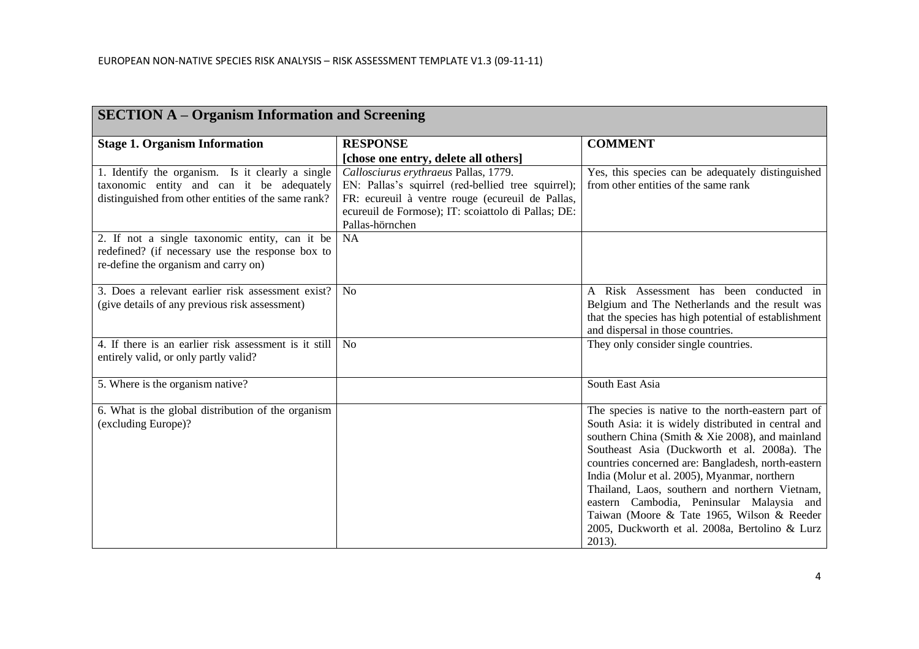| <b>SECTION A – Organism Information and Screening</b>                                                                                                |                                                                                                                                                                                                                           |                                                                                                                                                                                                                                                                                                                                                                                                                                                                                                                             |  |
|------------------------------------------------------------------------------------------------------------------------------------------------------|---------------------------------------------------------------------------------------------------------------------------------------------------------------------------------------------------------------------------|-----------------------------------------------------------------------------------------------------------------------------------------------------------------------------------------------------------------------------------------------------------------------------------------------------------------------------------------------------------------------------------------------------------------------------------------------------------------------------------------------------------------------------|--|
| <b>Stage 1. Organism Information</b>                                                                                                                 | <b>RESPONSE</b>                                                                                                                                                                                                           | <b>COMMENT</b>                                                                                                                                                                                                                                                                                                                                                                                                                                                                                                              |  |
|                                                                                                                                                      | [chose one entry, delete all others]                                                                                                                                                                                      |                                                                                                                                                                                                                                                                                                                                                                                                                                                                                                                             |  |
| 1. Identify the organism. Is it clearly a single<br>taxonomic entity and can it be adequately<br>distinguished from other entities of the same rank? | Callosciurus erythraeus Pallas, 1779.<br>EN: Pallas's squirrel (red-bellied tree squirrel);<br>FR: ecureuil à ventre rouge (ecureuil de Pallas,<br>ecureuil de Formose); IT: scoiattolo di Pallas; DE:<br>Pallas-hörnchen | Yes, this species can be adequately distinguished<br>from other entities of the same rank                                                                                                                                                                                                                                                                                                                                                                                                                                   |  |
| 2. If not a single taxonomic entity, can it be<br>redefined? (if necessary use the response box to<br>re-define the organism and carry on)           | <b>NA</b>                                                                                                                                                                                                                 |                                                                                                                                                                                                                                                                                                                                                                                                                                                                                                                             |  |
| 3. Does a relevant earlier risk assessment exist?<br>(give details of any previous risk assessment)                                                  | N <sub>o</sub>                                                                                                                                                                                                            | A Risk Assessment has been conducted in<br>Belgium and The Netherlands and the result was<br>that the species has high potential of establishment<br>and dispersal in those countries.                                                                                                                                                                                                                                                                                                                                      |  |
| 4. If there is an earlier risk assessment is it still<br>entirely valid, or only partly valid?                                                       | N <sub>0</sub>                                                                                                                                                                                                            | They only consider single countries.                                                                                                                                                                                                                                                                                                                                                                                                                                                                                        |  |
| 5. Where is the organism native?                                                                                                                     |                                                                                                                                                                                                                           | South East Asia                                                                                                                                                                                                                                                                                                                                                                                                                                                                                                             |  |
| 6. What is the global distribution of the organism<br>(excluding Europe)?                                                                            |                                                                                                                                                                                                                           | The species is native to the north-eastern part of<br>South Asia: it is widely distributed in central and<br>southern China (Smith & Xie 2008), and mainland<br>Southeast Asia (Duckworth et al. 2008a). The<br>countries concerned are: Bangladesh, north-eastern<br>India (Molur et al. 2005), Myanmar, northern<br>Thailand, Laos, southern and northern Vietnam,<br>eastern Cambodia, Peninsular Malaysia and<br>Taiwan (Moore & Tate 1965, Wilson & Reeder<br>2005, Duckworth et al. 2008a, Bertolino & Lurz<br>2013). |  |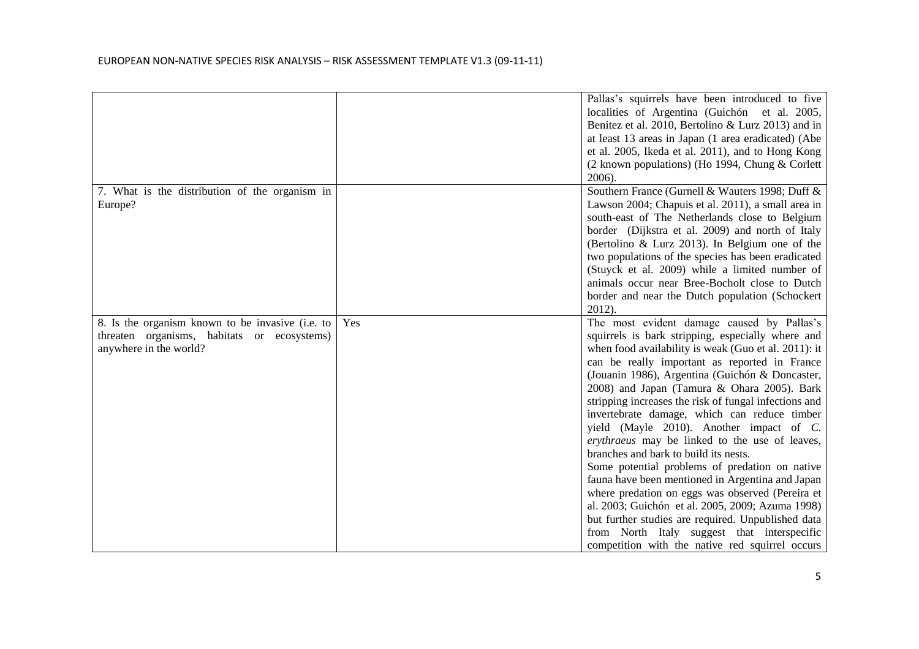|                                                  |     | Pallas's squirrels have been introduced to five                                                      |
|--------------------------------------------------|-----|------------------------------------------------------------------------------------------------------|
|                                                  |     | localities of Argentina (Guichón et al. 2005,<br>Benitez et al. 2010, Bertolino & Lurz 2013) and in  |
|                                                  |     | at least 13 areas in Japan (1 area eradicated) (Abe                                                  |
|                                                  |     | et al. 2005, Ikeda et al. 2011), and to Hong Kong                                                    |
|                                                  |     | (2 known populations) (Ho 1994, Chung & Corlett                                                      |
|                                                  |     | 2006).                                                                                               |
| 7. What is the distribution of the organism in   |     | Southern France (Gurnell & Wauters 1998; Duff &                                                      |
| Europe?                                          |     | Lawson 2004; Chapuis et al. 2011), a small area in                                                   |
|                                                  |     | south-east of The Netherlands close to Belgium                                                       |
|                                                  |     | border (Dijkstra et al. 2009) and north of Italy                                                     |
|                                                  |     | (Bertolino $\&$ Lurz 2013). In Belgium one of the                                                    |
|                                                  |     | two populations of the species has been eradicated                                                   |
|                                                  |     | (Stuyck et al. 2009) while a limited number of<br>animals occur near Bree-Bocholt close to Dutch     |
|                                                  |     | border and near the Dutch population (Schockert                                                      |
|                                                  |     | 2012).                                                                                               |
| 8. Is the organism known to be invasive (i.e. to | Yes | The most evident damage caused by Pallas's                                                           |
| threaten organisms, habitats or ecosystems)      |     | squirrels is bark stripping, especially where and                                                    |
| anywhere in the world?                           |     | when food availability is weak (Guo et al. 2011): it                                                 |
|                                                  |     | can be really important as reported in France                                                        |
|                                                  |     | (Jouanin 1986), Argentina (Guichón & Doncaster,                                                      |
|                                                  |     | 2008) and Japan (Tamura & Ohara 2005). Bark                                                          |
|                                                  |     | stripping increases the risk of fungal infections and                                                |
|                                                  |     | invertebrate damage, which can reduce timber                                                         |
|                                                  |     | yield (Mayle 2010). Another impact of C.                                                             |
|                                                  |     | erythraeus may be linked to the use of leaves,                                                       |
|                                                  |     | branches and bark to build its nests.                                                                |
|                                                  |     | Some potential problems of predation on native                                                       |
|                                                  |     | fauna have been mentioned in Argentina and Japan<br>where predation on eggs was observed (Pereira et |
|                                                  |     | al. 2003; Guichón et al. 2005, 2009; Azuma 1998)                                                     |
|                                                  |     | but further studies are required. Unpublished data                                                   |
|                                                  |     | from North Italy suggest that interspecific                                                          |
|                                                  |     | competition with the native red squirrel occurs                                                      |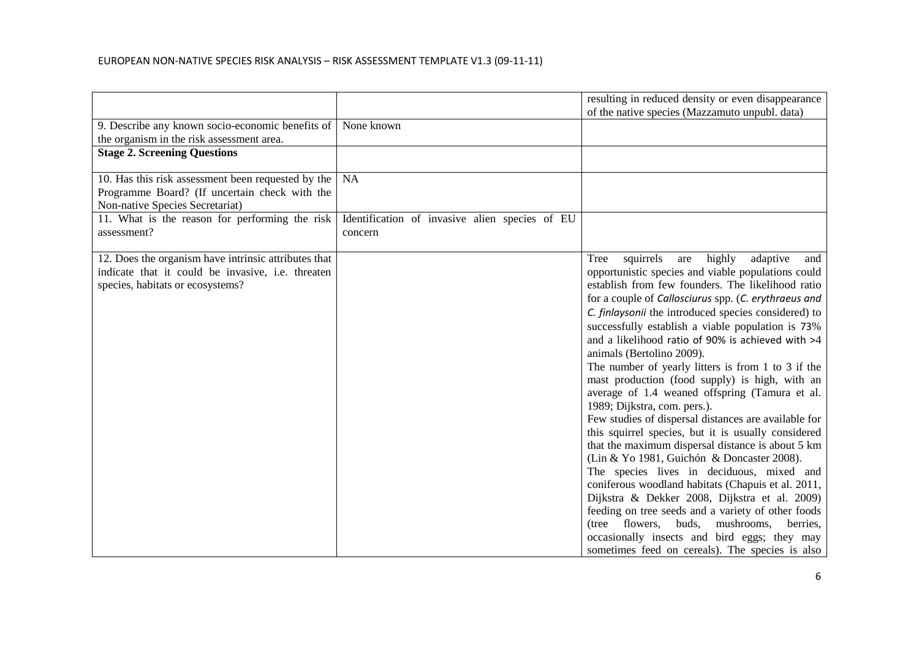|                                                                                                                                               |                                                           | resulting in reduced density or even disappearance                                                                                                                                                                                                                                                                                                                                                                                                                                                                                                                                                                                                                                                                                                                                                                                                                                                                                                                                                                                                                                                                                                                                                  |
|-----------------------------------------------------------------------------------------------------------------------------------------------|-----------------------------------------------------------|-----------------------------------------------------------------------------------------------------------------------------------------------------------------------------------------------------------------------------------------------------------------------------------------------------------------------------------------------------------------------------------------------------------------------------------------------------------------------------------------------------------------------------------------------------------------------------------------------------------------------------------------------------------------------------------------------------------------------------------------------------------------------------------------------------------------------------------------------------------------------------------------------------------------------------------------------------------------------------------------------------------------------------------------------------------------------------------------------------------------------------------------------------------------------------------------------------|
|                                                                                                                                               |                                                           | of the native species (Mazzamuto unpubl. data)                                                                                                                                                                                                                                                                                                                                                                                                                                                                                                                                                                                                                                                                                                                                                                                                                                                                                                                                                                                                                                                                                                                                                      |
| 9. Describe any known socio-economic benefits of                                                                                              | None known                                                |                                                                                                                                                                                                                                                                                                                                                                                                                                                                                                                                                                                                                                                                                                                                                                                                                                                                                                                                                                                                                                                                                                                                                                                                     |
| the organism in the risk assessment area.                                                                                                     |                                                           |                                                                                                                                                                                                                                                                                                                                                                                                                                                                                                                                                                                                                                                                                                                                                                                                                                                                                                                                                                                                                                                                                                                                                                                                     |
| <b>Stage 2. Screening Questions</b>                                                                                                           |                                                           |                                                                                                                                                                                                                                                                                                                                                                                                                                                                                                                                                                                                                                                                                                                                                                                                                                                                                                                                                                                                                                                                                                                                                                                                     |
| 10. Has this risk assessment been requested by the<br>Programme Board? (If uncertain check with the<br>Non-native Species Secretariat)        | <b>NA</b>                                                 |                                                                                                                                                                                                                                                                                                                                                                                                                                                                                                                                                                                                                                                                                                                                                                                                                                                                                                                                                                                                                                                                                                                                                                                                     |
| 11. What is the reason for performing the risk<br>assessment?                                                                                 | Identification of invasive alien species of EU<br>concern |                                                                                                                                                                                                                                                                                                                                                                                                                                                                                                                                                                                                                                                                                                                                                                                                                                                                                                                                                                                                                                                                                                                                                                                                     |
| 12. Does the organism have intrinsic attributes that<br>indicate that it could be invasive, i.e. threaten<br>species, habitats or ecosystems? |                                                           | highly<br>adaptive<br>squirrels<br>Tree<br>are<br>and<br>opportunistic species and viable populations could<br>establish from few founders. The likelihood ratio<br>for a couple of Callosciurus spp. (C. erythraeus and<br>C. finlaysonii the introduced species considered) to<br>successfully establish a viable population is 73%<br>and a likelihood ratio of 90% is achieved with >4<br>animals (Bertolino 2009).<br>The number of yearly litters is from 1 to 3 if the<br>mast production (food supply) is high, with an<br>average of 1.4 weaned offspring (Tamura et al.<br>1989; Dijkstra, com. pers.).<br>Few studies of dispersal distances are available for<br>this squirrel species, but it is usually considered<br>that the maximum dispersal distance is about 5 km<br>(Lin & Yo 1981, Guichón & Doncaster 2008).<br>The species lives in deciduous, mixed and<br>coniferous woodland habitats (Chapuis et al. 2011,<br>Dijkstra & Dekker 2008, Dijkstra et al. 2009)<br>feeding on tree seeds and a variety of other foods<br>flowers, buds, mushrooms,<br>(tree)<br>berries,<br>occasionally insects and bird eggs; they may<br>sometimes feed on cereals). The species is also |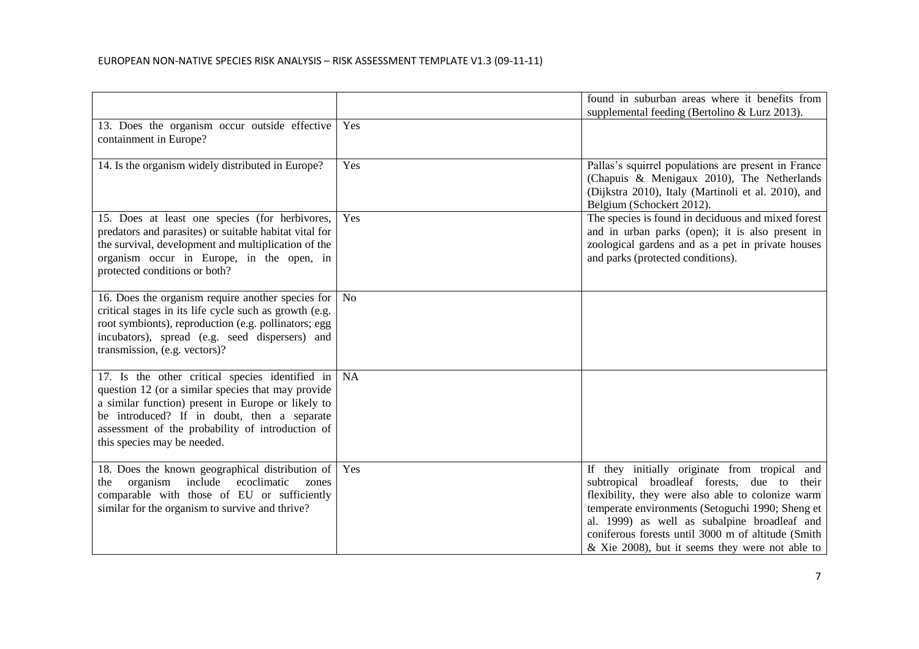|                                                                                                                                                                                                                                                                                               |                | found in suburban areas where it benefits from<br>supplemental feeding (Bertolino & Lurz 2013).                                                                                                                                                                                                                                                                   |
|-----------------------------------------------------------------------------------------------------------------------------------------------------------------------------------------------------------------------------------------------------------------------------------------------|----------------|-------------------------------------------------------------------------------------------------------------------------------------------------------------------------------------------------------------------------------------------------------------------------------------------------------------------------------------------------------------------|
| 13. Does the organism occur outside effective<br>containment in Europe?                                                                                                                                                                                                                       | Yes            |                                                                                                                                                                                                                                                                                                                                                                   |
| 14. Is the organism widely distributed in Europe?                                                                                                                                                                                                                                             | Yes            | Pallas's squirrel populations are present in France<br>(Chapuis & Menigaux 2010), The Netherlands<br>(Dijkstra 2010), Italy (Martinoli et al. 2010), and<br>Belgium (Schockert 2012).                                                                                                                                                                             |
| 15. Does at least one species (for herbivores,<br>predators and parasites) or suitable habitat vital for<br>the survival, development and multiplication of the<br>organism occur in Europe, in the open, in<br>protected conditions or both?                                                 | Yes            | The species is found in deciduous and mixed forest<br>and in urban parks (open); it is also present in<br>zoological gardens and as a pet in private houses<br>and parks (protected conditions).                                                                                                                                                                  |
| 16. Does the organism require another species for<br>critical stages in its life cycle such as growth (e.g.<br>root symbionts), reproduction (e.g. pollinators; egg<br>incubators), spread (e.g. seed dispersers) and<br>transmission, (e.g. vectors)?                                        | N <sub>o</sub> |                                                                                                                                                                                                                                                                                                                                                                   |
| 17. Is the other critical species identified in<br>question 12 (or a similar species that may provide<br>a similar function) present in Europe or likely to<br>be introduced? If in doubt, then a separate<br>assessment of the probability of introduction of<br>this species may be needed. | NA             |                                                                                                                                                                                                                                                                                                                                                                   |
| 18. Does the known geographical distribution of<br>include<br>organism<br>ecoclimatic<br>the<br>zones<br>comparable with those of EU or sufficiently<br>similar for the organism to survive and thrive?                                                                                       | Yes            | If they initially originate from tropical and<br>subtropical broadleaf forests, due to their<br>flexibility, they were also able to colonize warm<br>temperate environments (Setoguchi 1990; Sheng et<br>al. 1999) as well as subalpine broadleaf and<br>coniferous forests until 3000 m of altitude (Smith<br>$\&$ Xie 2008), but it seems they were not able to |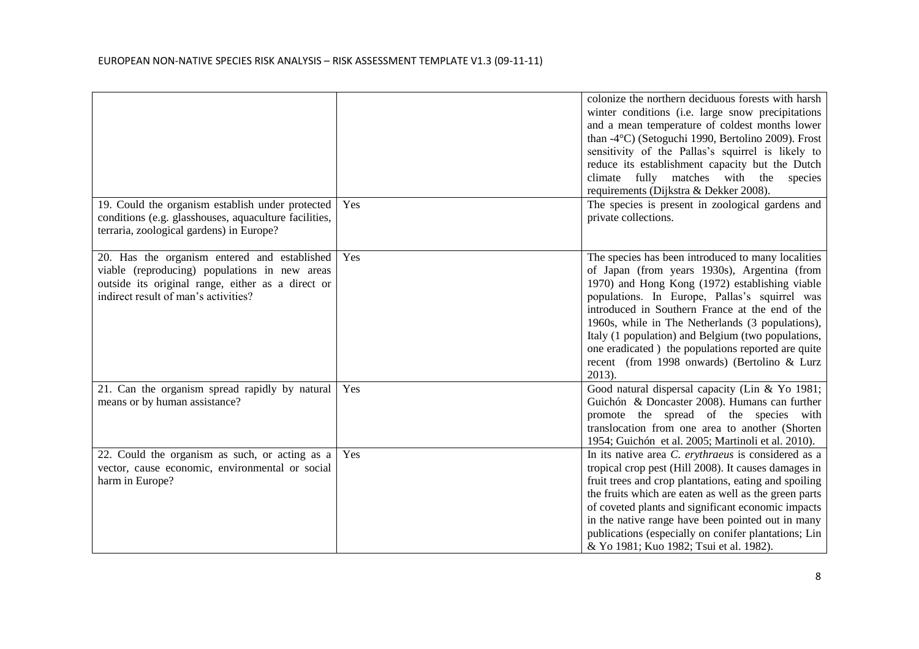|                                                                                                                                                                                            |     | colonize the northern deciduous forests with harsh<br>winter conditions (i.e. large snow precipitations<br>and a mean temperature of coldest months lower<br>than $-4^{\circ}$ C) (Setoguchi 1990, Bertolino 2009). Frost<br>sensitivity of the Pallas's squirrel is likely to<br>reduce its establishment capacity but the Dutch<br>climate fully matches with the species<br>requirements (Dijkstra & Dekker 2008).                                                              |
|--------------------------------------------------------------------------------------------------------------------------------------------------------------------------------------------|-----|------------------------------------------------------------------------------------------------------------------------------------------------------------------------------------------------------------------------------------------------------------------------------------------------------------------------------------------------------------------------------------------------------------------------------------------------------------------------------------|
| 19. Could the organism establish under protected<br>conditions (e.g. glasshouses, aquaculture facilities,<br>terraria, zoological gardens) in Europe?                                      | Yes | The species is present in zoological gardens and<br>private collections.                                                                                                                                                                                                                                                                                                                                                                                                           |
| 20. Has the organism entered and established<br>viable (reproducing) populations in new areas<br>outside its original range, either as a direct or<br>indirect result of man's activities? | Yes | The species has been introduced to many localities<br>of Japan (from years 1930s), Argentina (from<br>1970) and Hong Kong (1972) establishing viable<br>populations. In Europe, Pallas's squirrel was<br>introduced in Southern France at the end of the<br>1960s, while in The Netherlands (3 populations),<br>Italy (1 population) and Belgium (two populations,<br>one eradicated) the populations reported are quite<br>recent (from 1998 onwards) (Bertolino & Lurz<br>2013). |
| 21. Can the organism spread rapidly by natural<br>means or by human assistance?                                                                                                            | Yes | Good natural dispersal capacity (Lin & Yo 1981;<br>Guichón & Doncaster 2008). Humans can further<br>promote the spread of the species with<br>translocation from one area to another (Shorten<br>1954; Guichón et al. 2005; Martinoli et al. 2010).                                                                                                                                                                                                                                |
| 22. Could the organism as such, or acting as a<br>vector, cause economic, environmental or social<br>harm in Europe?                                                                       | Yes | In its native area C. erythraeus is considered as a<br>tropical crop pest (Hill 2008). It causes damages in<br>fruit trees and crop plantations, eating and spoiling<br>the fruits which are eaten as well as the green parts<br>of coveted plants and significant economic impacts<br>in the native range have been pointed out in many<br>publications (especially on conifer plantations; Lin<br>& Yo 1981; Kuo 1982; Tsui et al. 1982).                                        |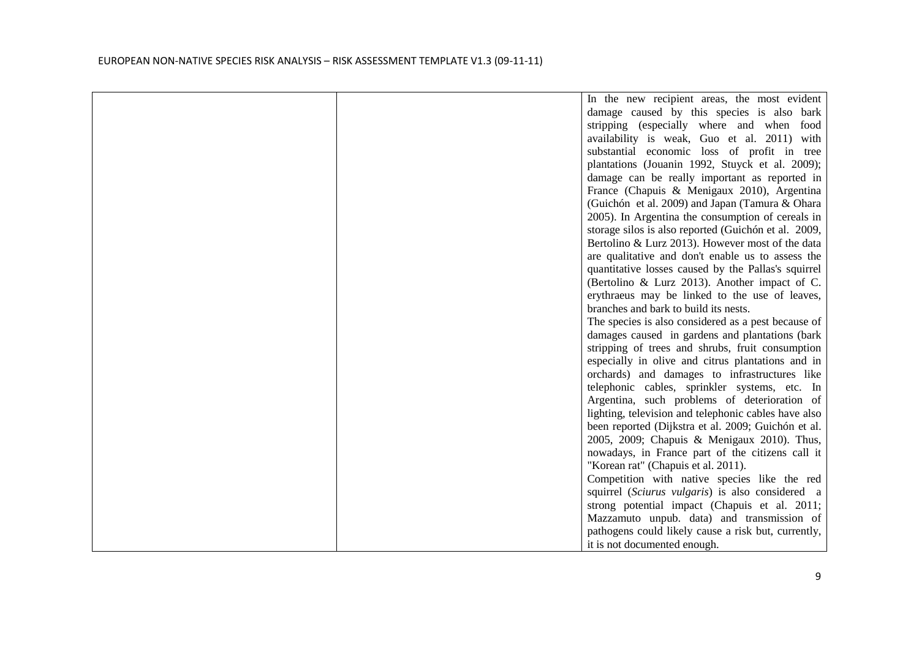|  | In the new recipient areas, the most evident         |
|--|------------------------------------------------------|
|  | damage caused by this species is also bark           |
|  | stripping (especially where and when food            |
|  | availability is weak, Guo et al. 2011) with          |
|  | substantial economic loss of profit in tree          |
|  | plantations (Jouanin 1992, Stuyck et al. 2009);      |
|  | damage can be really important as reported in        |
|  | France (Chapuis & Menigaux 2010), Argentina          |
|  | (Guichón et al. 2009) and Japan (Tamura & Ohara      |
|  | 2005). In Argentina the consumption of cereals in    |
|  | storage silos is also reported (Guichón et al. 2009, |
|  | Bertolino & Lurz 2013). However most of the data     |
|  | are qualitative and don't enable us to assess the    |
|  | quantitative losses caused by the Pallas's squirrel  |
|  | (Bertolino & Lurz 2013). Another impact of C.        |
|  | erythraeus may be linked to the use of leaves,       |
|  | branches and bark to build its nests.                |
|  | The species is also considered as a pest because of  |
|  | damages caused in gardens and plantations (bark      |
|  | stripping of trees and shrubs, fruit consumption     |
|  | especially in olive and citrus plantations and in    |
|  | orchards) and damages to infrastructures like        |
|  | telephonic cables, sprinkler systems, etc. In        |
|  | Argentina, such problems of deterioration of         |
|  | lighting, television and telephonic cables have also |
|  | been reported (Dijkstra et al. 2009; Guichón et al.  |
|  | 2005, 2009; Chapuis & Menigaux 2010). Thus,          |
|  | nowadays, in France part of the citizens call it     |
|  | "Korean rat" (Chapuis et al. 2011).                  |
|  | Competition with native species like the red         |
|  | squirrel (Sciurus vulgaris) is also considered a     |
|  | strong potential impact (Chapuis et al. 2011;        |
|  | Mazzamuto unpub. data) and transmission of           |
|  | pathogens could likely cause a risk but, currently,  |
|  | it is not documented enough.                         |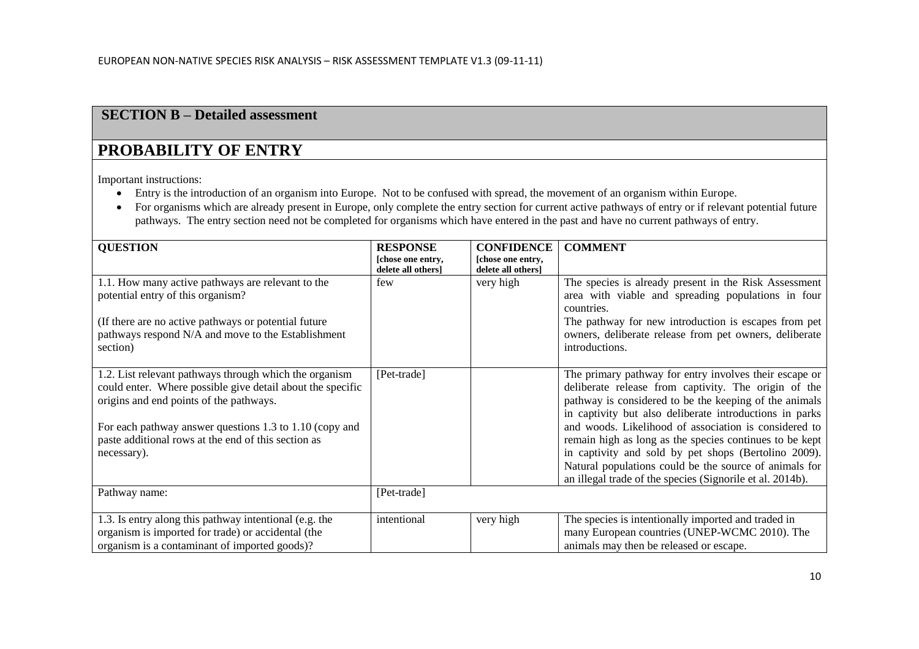## **SECTION B – Detailed assessment**

# **PROBABILITY OF ENTRY**

Important instructions:

- Entry is the introduction of an organism into Europe. Not to be confused with spread, the movement of an organism within Europe.
- For organisms which are already present in Europe, only complete the entry section for current active pathways of entry or if relevant potential future pathways. The entry section need not be completed for organisms which have entered in the past and have no current pathways of entry.

| <b>QUESTION</b>                                                                                                                                                                                                                                                                                  | <b>RESPONSE</b>                         | <b>CONFIDENCE</b>                       | <b>COMMENT</b>                                                                                                                                                                                                                                                                                                                                                                                                                                                                                                                         |
|--------------------------------------------------------------------------------------------------------------------------------------------------------------------------------------------------------------------------------------------------------------------------------------------------|-----------------------------------------|-----------------------------------------|----------------------------------------------------------------------------------------------------------------------------------------------------------------------------------------------------------------------------------------------------------------------------------------------------------------------------------------------------------------------------------------------------------------------------------------------------------------------------------------------------------------------------------------|
|                                                                                                                                                                                                                                                                                                  | [chose one entry,<br>delete all others] | [chose one entry,<br>delete all others] |                                                                                                                                                                                                                                                                                                                                                                                                                                                                                                                                        |
| 1.1. How many active pathways are relevant to the<br>potential entry of this organism?                                                                                                                                                                                                           | few                                     | very high                               | The species is already present in the Risk Assessment<br>area with viable and spreading populations in four<br>countries.                                                                                                                                                                                                                                                                                                                                                                                                              |
| (If there are no active pathways or potential future)<br>pathways respond N/A and move to the Establishment<br>section)                                                                                                                                                                          |                                         |                                         | The pathway for new introduction is escapes from pet<br>owners, deliberate release from pet owners, deliberate<br>introductions.                                                                                                                                                                                                                                                                                                                                                                                                       |
| 1.2. List relevant pathways through which the organism<br>could enter. Where possible give detail about the specific<br>origins and end points of the pathways.<br>For each pathway answer questions 1.3 to 1.10 (copy and<br>paste additional rows at the end of this section as<br>necessary). | [Pet-trade]                             |                                         | The primary pathway for entry involves their escape or<br>deliberate release from captivity. The origin of the<br>pathway is considered to be the keeping of the animals<br>in captivity but also deliberate introductions in parks<br>and woods. Likelihood of association is considered to<br>remain high as long as the species continues to be kept<br>in captivity and sold by pet shops (Bertolino 2009).<br>Natural populations could be the source of animals for<br>an illegal trade of the species (Signorile et al. 2014b). |
| Pathway name:                                                                                                                                                                                                                                                                                    | [Pet-trade]                             |                                         |                                                                                                                                                                                                                                                                                                                                                                                                                                                                                                                                        |
| 1.3. Is entry along this pathway intentional (e.g. the<br>organism is imported for trade) or accidental (the<br>organism is a contaminant of imported goods)?                                                                                                                                    | intentional                             | very high                               | The species is intentionally imported and traded in<br>many European countries (UNEP-WCMC 2010). The<br>animals may then be released or escape.                                                                                                                                                                                                                                                                                                                                                                                        |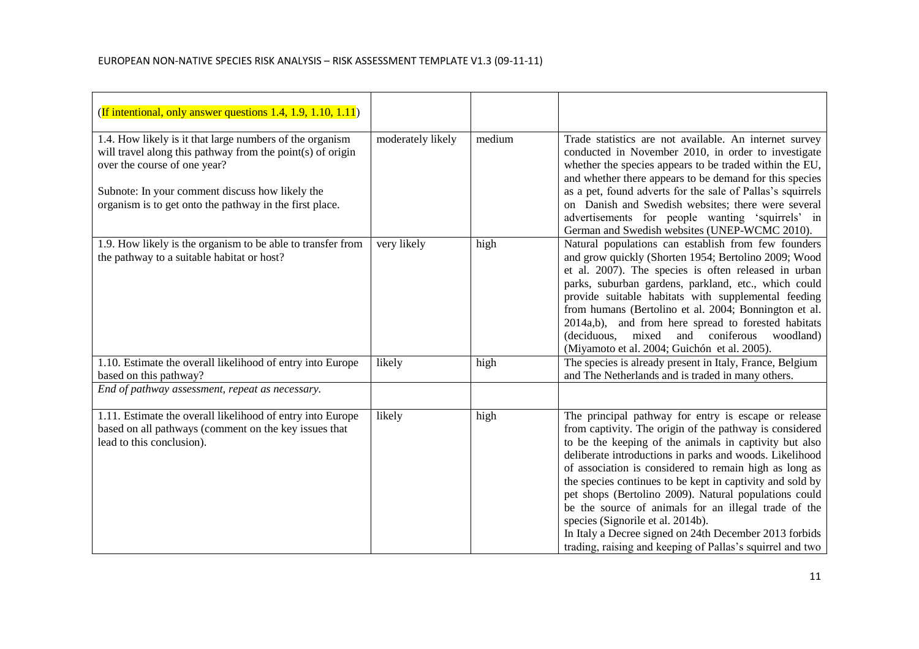| (If intentional, only answer questions 1.4, 1.9, 1.10, 1.11)                                                                                                                                                                                                         |                   |        |                                                                                                                                                                                                                                                                                                                                                                                                                                                                                                                                                                                                                                          |
|----------------------------------------------------------------------------------------------------------------------------------------------------------------------------------------------------------------------------------------------------------------------|-------------------|--------|------------------------------------------------------------------------------------------------------------------------------------------------------------------------------------------------------------------------------------------------------------------------------------------------------------------------------------------------------------------------------------------------------------------------------------------------------------------------------------------------------------------------------------------------------------------------------------------------------------------------------------------|
| 1.4. How likely is it that large numbers of the organism<br>will travel along this pathway from the point(s) of origin<br>over the course of one year?<br>Subnote: In your comment discuss how likely the<br>organism is to get onto the pathway in the first place. | moderately likely | medium | Trade statistics are not available. An internet survey<br>conducted in November 2010, in order to investigate<br>whether the species appears to be traded within the EU,<br>and whether there appears to be demand for this species<br>as a pet, found adverts for the sale of Pallas's squirrels<br>on Danish and Swedish websites; there were several<br>advertisements for people wanting 'squirrels' in<br>German and Swedish websites (UNEP-WCMC 2010).                                                                                                                                                                             |
| 1.9. How likely is the organism to be able to transfer from<br>the pathway to a suitable habitat or host?                                                                                                                                                            | very likely       | high   | Natural populations can establish from few founders<br>and grow quickly (Shorten 1954; Bertolino 2009; Wood<br>et al. 2007). The species is often released in urban<br>parks, suburban gardens, parkland, etc., which could<br>provide suitable habitats with supplemental feeding<br>from humans (Bertolino et al. 2004; Bonnington et al.<br>2014a,b), and from here spread to forested habitats<br>(deciduous, mixed)<br>and coniferous<br>woodland)<br>(Miyamoto et al. 2004; Guichón et al. 2005).                                                                                                                                  |
| 1.10. Estimate the overall likelihood of entry into Europe<br>based on this pathway?                                                                                                                                                                                 | likely            | high   | The species is already present in Italy, France, Belgium<br>and The Netherlands and is traded in many others.                                                                                                                                                                                                                                                                                                                                                                                                                                                                                                                            |
| End of pathway assessment, repeat as necessary.                                                                                                                                                                                                                      |                   |        |                                                                                                                                                                                                                                                                                                                                                                                                                                                                                                                                                                                                                                          |
| 1.11. Estimate the overall likelihood of entry into Europe<br>based on all pathways (comment on the key issues that<br>lead to this conclusion).                                                                                                                     | likely            | high   | The principal pathway for entry is escape or release<br>from captivity. The origin of the pathway is considered<br>to be the keeping of the animals in captivity but also<br>deliberate introductions in parks and woods. Likelihood<br>of association is considered to remain high as long as<br>the species continues to be kept in captivity and sold by<br>pet shops (Bertolino 2009). Natural populations could<br>be the source of animals for an illegal trade of the<br>species (Signorile et al. 2014b).<br>In Italy a Decree signed on 24th December 2013 forbids<br>trading, raising and keeping of Pallas's squirrel and two |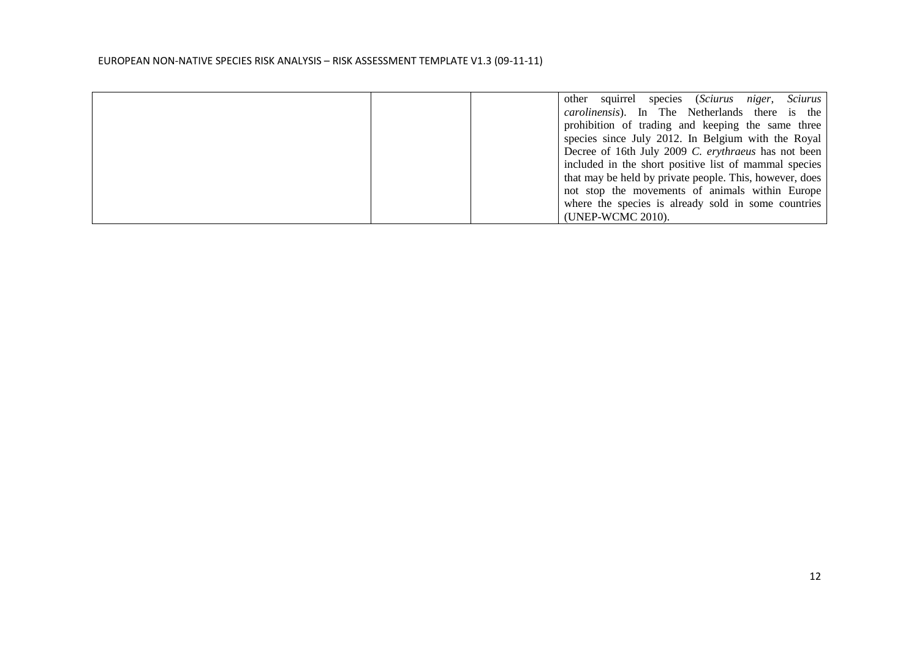|  | species (Sciurus niger, Sciurus<br>other squirrel       |
|--|---------------------------------------------------------|
|  | <i>carolinensis</i> ). In The Netherlands there is the  |
|  | prohibition of trading and keeping the same three       |
|  | species since July 2012. In Belgium with the Royal      |
|  | Decree of 16th July 2009 C. erythraeus has not been     |
|  | included in the short positive list of mammal species   |
|  | that may be held by private people. This, however, does |
|  | not stop the movements of animals within Europe         |
|  | where the species is already sold in some countries     |
|  | (UNEP-WCMC 2010).                                       |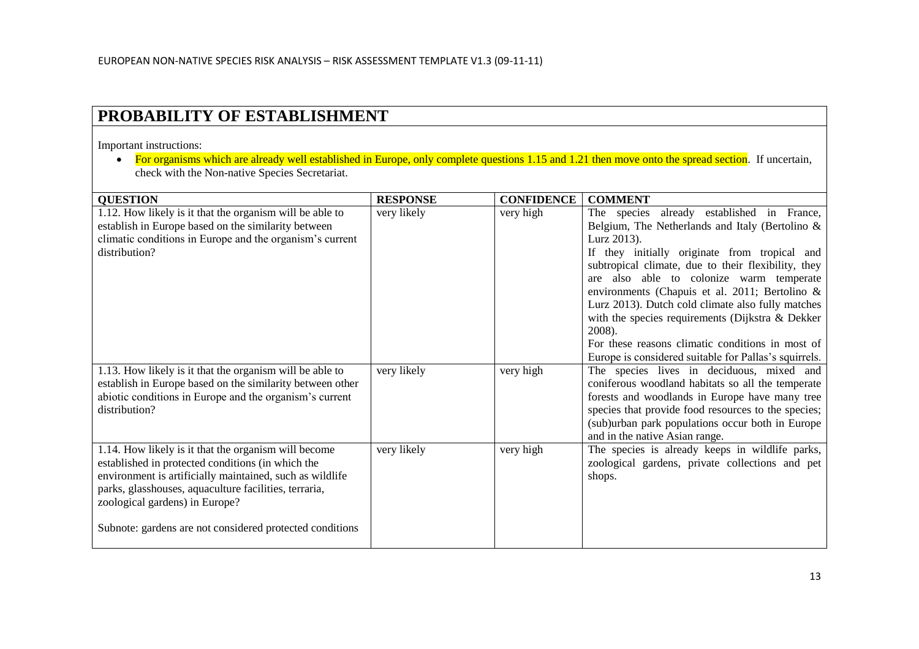# **PROBABILITY OF ESTABLISHMENT**

Important instructions:

• For organisms which are already well established in Europe, only complete questions 1.15 and 1.21 then move onto the spread section. If uncertain, check with the Non-native Species Secretariat.

| <b>QUESTION</b>                                                                                                                                                                                                                                                                                                              | <b>RESPONSE</b> | <b>CONFIDENCE</b> | <b>COMMENT</b>                                                                                                                                                                                                                                                                                                                                                                                                                                                                                                                                           |
|------------------------------------------------------------------------------------------------------------------------------------------------------------------------------------------------------------------------------------------------------------------------------------------------------------------------------|-----------------|-------------------|----------------------------------------------------------------------------------------------------------------------------------------------------------------------------------------------------------------------------------------------------------------------------------------------------------------------------------------------------------------------------------------------------------------------------------------------------------------------------------------------------------------------------------------------------------|
| 1.12. How likely is it that the organism will be able to<br>establish in Europe based on the similarity between<br>climatic conditions in Europe and the organism's current<br>distribution?                                                                                                                                 | very likely     | very high         | already established in France,<br>The species<br>Belgium, The Netherlands and Italy (Bertolino &<br>Lurz 2013).<br>If they initially originate from tropical and<br>subtropical climate, due to their flexibility, they<br>also able to colonize warm temperate<br>are<br>environments (Chapuis et al. 2011; Bertolino &<br>Lurz 2013). Dutch cold climate also fully matches<br>with the species requirements (Dijkstra & Dekker<br>2008).<br>For these reasons climatic conditions in most of<br>Europe is considered suitable for Pallas's squirrels. |
| 1.13. How likely is it that the organism will be able to<br>establish in Europe based on the similarity between other<br>abiotic conditions in Europe and the organism's current<br>distribution?                                                                                                                            | very likely     | very high         | The species lives in deciduous, mixed and<br>coniferous woodland habitats so all the temperate<br>forests and woodlands in Europe have many tree<br>species that provide food resources to the species;<br>(sub)urban park populations occur both in Europe<br>and in the native Asian range.                                                                                                                                                                                                                                                            |
| 1.14. How likely is it that the organism will become<br>established in protected conditions (in which the<br>environment is artificially maintained, such as wildlife<br>parks, glasshouses, aquaculture facilities, terraria,<br>zoological gardens) in Europe?<br>Subnote: gardens are not considered protected conditions | very likely     | very high         | The species is already keeps in wildlife parks,<br>zoological gardens, private collections and pet<br>shops.                                                                                                                                                                                                                                                                                                                                                                                                                                             |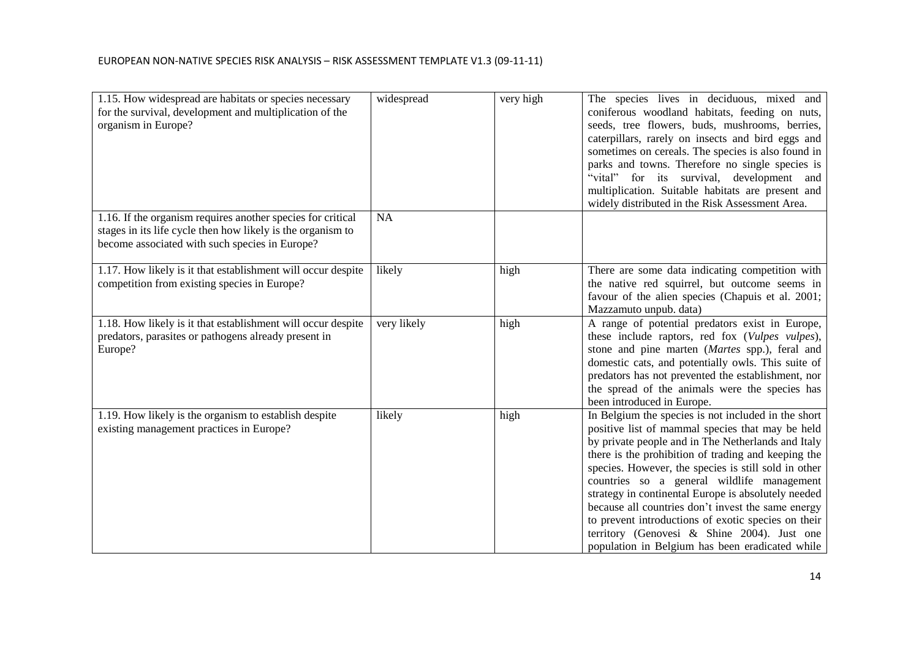| 1.15. How widespread are habitats or species necessary<br>for the survival, development and multiplication of the<br>organism in Europe?                                     | widespread  | very high | The species lives in deciduous, mixed and<br>coniferous woodland habitats, feeding on nuts,<br>seeds, tree flowers, buds, mushrooms, berries,<br>caterpillars, rarely on insects and bird eggs and<br>sometimes on cereals. The species is also found in<br>parks and towns. Therefore no single species is<br>"vital" for its survival, development and<br>multiplication. Suitable habitats are present and<br>widely distributed in the Risk Assessment Area.                                                                                                                                 |
|------------------------------------------------------------------------------------------------------------------------------------------------------------------------------|-------------|-----------|--------------------------------------------------------------------------------------------------------------------------------------------------------------------------------------------------------------------------------------------------------------------------------------------------------------------------------------------------------------------------------------------------------------------------------------------------------------------------------------------------------------------------------------------------------------------------------------------------|
| 1.16. If the organism requires another species for critical<br>stages in its life cycle then how likely is the organism to<br>become associated with such species in Europe? | <b>NA</b>   |           |                                                                                                                                                                                                                                                                                                                                                                                                                                                                                                                                                                                                  |
| 1.17. How likely is it that establishment will occur despite<br>competition from existing species in Europe?                                                                 | likely      | high      | There are some data indicating competition with<br>the native red squirrel, but outcome seems in<br>favour of the alien species (Chapuis et al. 2001;<br>Mazzamuto unpub. data)                                                                                                                                                                                                                                                                                                                                                                                                                  |
| 1.18. How likely is it that establishment will occur despite<br>predators, parasites or pathogens already present in<br>Europe?                                              | very likely | high      | A range of potential predators exist in Europe,<br>these include raptors, red fox (Vulpes vulpes),<br>stone and pine marten (Martes spp.), feral and<br>domestic cats, and potentially owls. This suite of<br>predators has not prevented the establishment, nor<br>the spread of the animals were the species has<br>been introduced in Europe.                                                                                                                                                                                                                                                 |
| 1.19. How likely is the organism to establish despite<br>existing management practices in Europe?                                                                            | likely      | high      | In Belgium the species is not included in the short<br>positive list of mammal species that may be held<br>by private people and in The Netherlands and Italy<br>there is the prohibition of trading and keeping the<br>species. However, the species is still sold in other<br>countries so a general wildlife management<br>strategy in continental Europe is absolutely needed<br>because all countries don't invest the same energy<br>to prevent introductions of exotic species on their<br>territory (Genovesi & Shine 2004). Just one<br>population in Belgium has been eradicated while |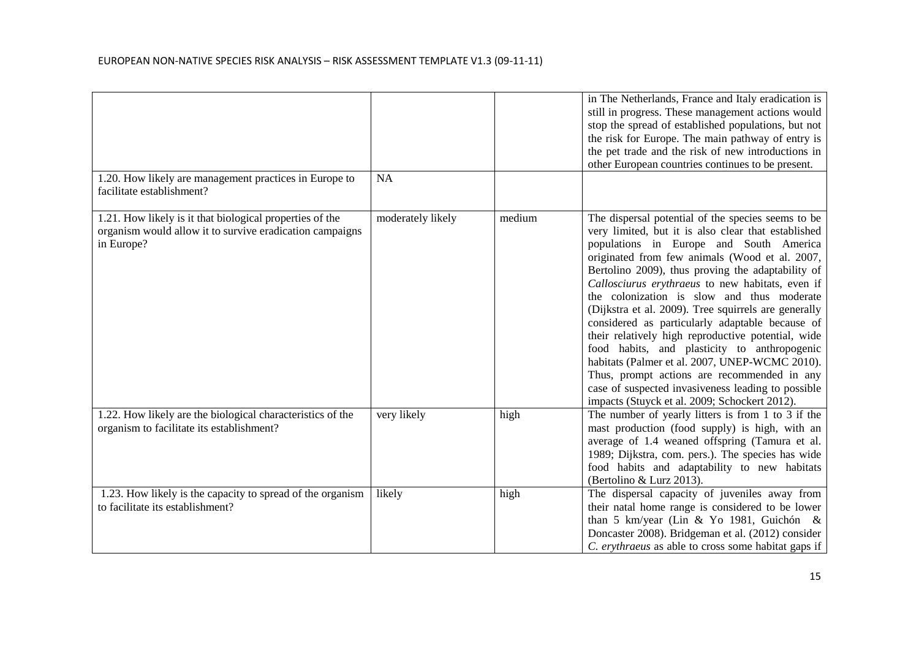|                                                                                                                                    |                   |        | in The Netherlands, France and Italy eradication is<br>still in progress. These management actions would<br>stop the spread of established populations, but not<br>the risk for Europe. The main pathway of entry is<br>the pet trade and the risk of new introductions in<br>other European countries continues to be present.                                                                                                                                                                                                                                                                                                                                                                                                                                                        |
|------------------------------------------------------------------------------------------------------------------------------------|-------------------|--------|----------------------------------------------------------------------------------------------------------------------------------------------------------------------------------------------------------------------------------------------------------------------------------------------------------------------------------------------------------------------------------------------------------------------------------------------------------------------------------------------------------------------------------------------------------------------------------------------------------------------------------------------------------------------------------------------------------------------------------------------------------------------------------------|
| 1.20. How likely are management practices in Europe to<br>facilitate establishment?                                                | NA                |        |                                                                                                                                                                                                                                                                                                                                                                                                                                                                                                                                                                                                                                                                                                                                                                                        |
| 1.21. How likely is it that biological properties of the<br>organism would allow it to survive eradication campaigns<br>in Europe? | moderately likely | medium | The dispersal potential of the species seems to be<br>very limited, but it is also clear that established<br>populations in Europe and South America<br>originated from few animals (Wood et al. 2007,<br>Bertolino 2009), thus proving the adaptability of<br>Callosciurus erythraeus to new habitats, even if<br>the colonization is slow and thus moderate<br>(Dijkstra et al. 2009). Tree squirrels are generally<br>considered as particularly adaptable because of<br>their relatively high reproductive potential, wide<br>food habits, and plasticity to anthropogenic<br>habitats (Palmer et al. 2007, UNEP-WCMC 2010).<br>Thus, prompt actions are recommended in any<br>case of suspected invasiveness leading to possible<br>impacts (Stuyck et al. 2009; Schockert 2012). |
| 1.22. How likely are the biological characteristics of the<br>organism to facilitate its establishment?                            | very likely       | high   | The number of yearly litters is from 1 to 3 if the<br>mast production (food supply) is high, with an<br>average of 1.4 weaned offspring (Tamura et al.<br>1989; Dijkstra, com. pers.). The species has wide<br>food habits and adaptability to new habitats<br>(Bertolino & Lurz 2013).                                                                                                                                                                                                                                                                                                                                                                                                                                                                                                |
| 1.23. How likely is the capacity to spread of the organism<br>to facilitate its establishment?                                     | likely            | high   | The dispersal capacity of juveniles away from<br>their natal home range is considered to be lower<br>than 5 km/year (Lin & Yo 1981, Guichón &<br>Doncaster 2008). Bridgeman et al. (2012) consider<br>C. erythraeus as able to cross some habitat gaps if                                                                                                                                                                                                                                                                                                                                                                                                                                                                                                                              |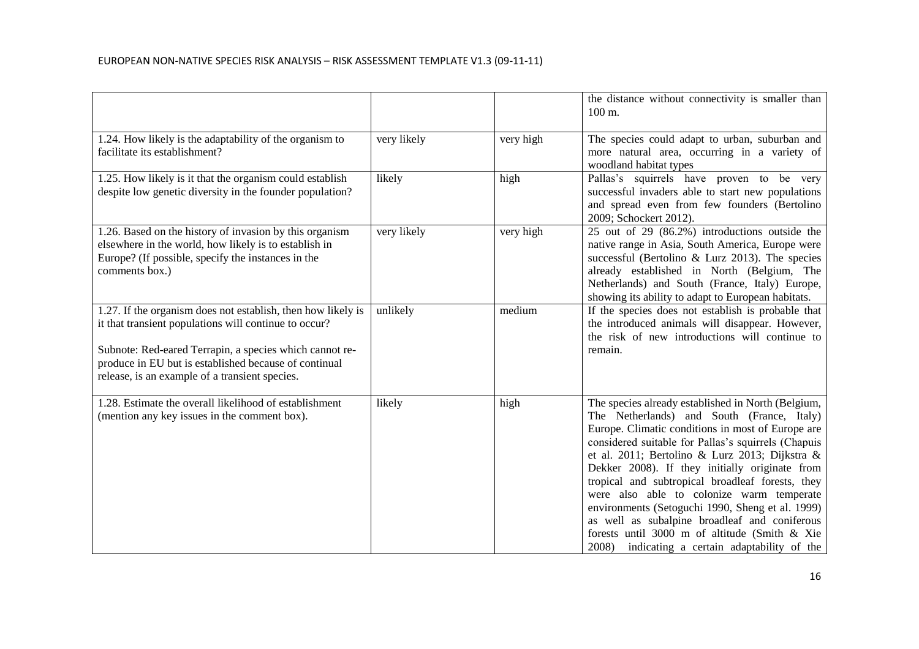|                                                                                                                                                                                                                                                                                             |             |           | the distance without connectivity is smaller than<br>100 m.                                                                                                                                                                                                                                                                                                                                                                                                                                                                                                                                                                  |
|---------------------------------------------------------------------------------------------------------------------------------------------------------------------------------------------------------------------------------------------------------------------------------------------|-------------|-----------|------------------------------------------------------------------------------------------------------------------------------------------------------------------------------------------------------------------------------------------------------------------------------------------------------------------------------------------------------------------------------------------------------------------------------------------------------------------------------------------------------------------------------------------------------------------------------------------------------------------------------|
| 1.24. How likely is the adaptability of the organism to<br>facilitate its establishment?                                                                                                                                                                                                    | very likely | very high | The species could adapt to urban, suburban and<br>more natural area, occurring in a variety of<br>woodland habitat types                                                                                                                                                                                                                                                                                                                                                                                                                                                                                                     |
| 1.25. How likely is it that the organism could establish<br>despite low genetic diversity in the founder population?                                                                                                                                                                        | likely      | high      | Pallas's squirrels have proven to be very<br>successful invaders able to start new populations<br>and spread even from few founders (Bertolino<br>2009; Schockert 2012).                                                                                                                                                                                                                                                                                                                                                                                                                                                     |
| 1.26. Based on the history of invasion by this organism<br>elsewhere in the world, how likely is to establish in<br>Europe? (If possible, specify the instances in the<br>comments box.)                                                                                                    | very likely | very high | 25 out of 29 (86.2%) introductions outside the<br>native range in Asia, South America, Europe were<br>successful (Bertolino & Lurz 2013). The species<br>already established in North (Belgium, The<br>Netherlands) and South (France, Italy) Europe,<br>showing its ability to adapt to European habitats.                                                                                                                                                                                                                                                                                                                  |
| 1.27. If the organism does not establish, then how likely is<br>it that transient populations will continue to occur?<br>Subnote: Red-eared Terrapin, a species which cannot re-<br>produce in EU but is established because of continual<br>release, is an example of a transient species. | unlikely    | medium    | If the species does not establish is probable that<br>the introduced animals will disappear. However,<br>the risk of new introductions will continue to<br>remain.                                                                                                                                                                                                                                                                                                                                                                                                                                                           |
| 1.28. Estimate the overall likelihood of establishment<br>(mention any key issues in the comment box).                                                                                                                                                                                      | likely      | high      | The species already established in North (Belgium,<br>The Netherlands) and South (France, Italy)<br>Europe. Climatic conditions in most of Europe are<br>considered suitable for Pallas's squirrels (Chapuis<br>et al. 2011; Bertolino & Lurz 2013; Dijkstra &<br>Dekker 2008). If they initially originate from<br>tropical and subtropical broadleaf forests, they<br>were also able to colonize warm temperate<br>environments (Setoguchi 1990, Sheng et al. 1999)<br>as well as subalpine broadleaf and coniferous<br>forests until 3000 m of altitude (Smith & Xie<br>2008)<br>indicating a certain adaptability of the |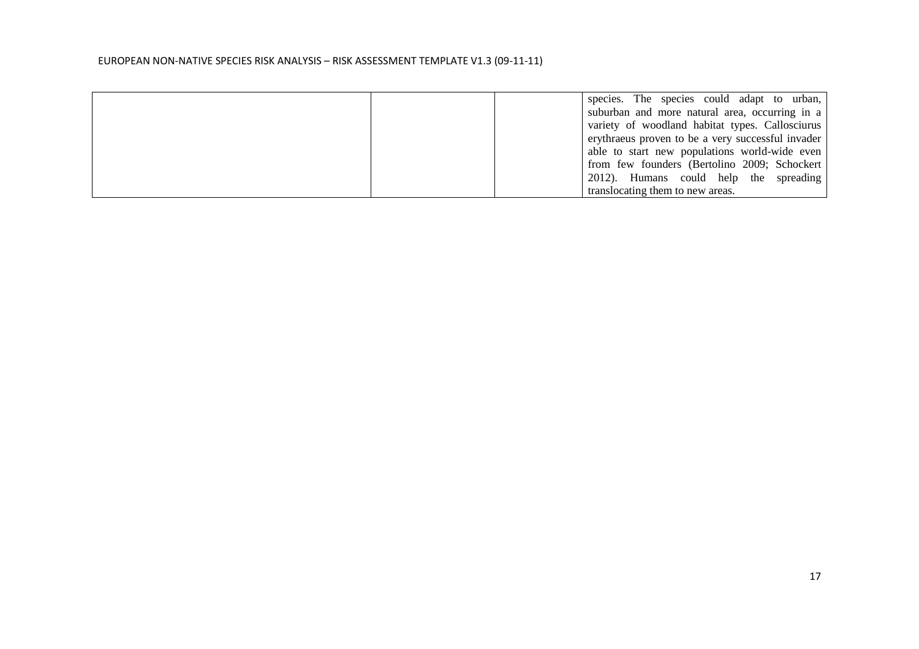| species. The species could adapt to urban,        |
|---------------------------------------------------|
| suburban and more natural area, occurring in a    |
| variety of woodland habitat types. Callosciurus   |
| erythraeus proven to be a very successful invader |
| able to start new populations world-wide even     |
| from few founders (Bertolino 2009; Schockert      |
| 2012). Humans could help the spreading            |
| translocating them to new areas.                  |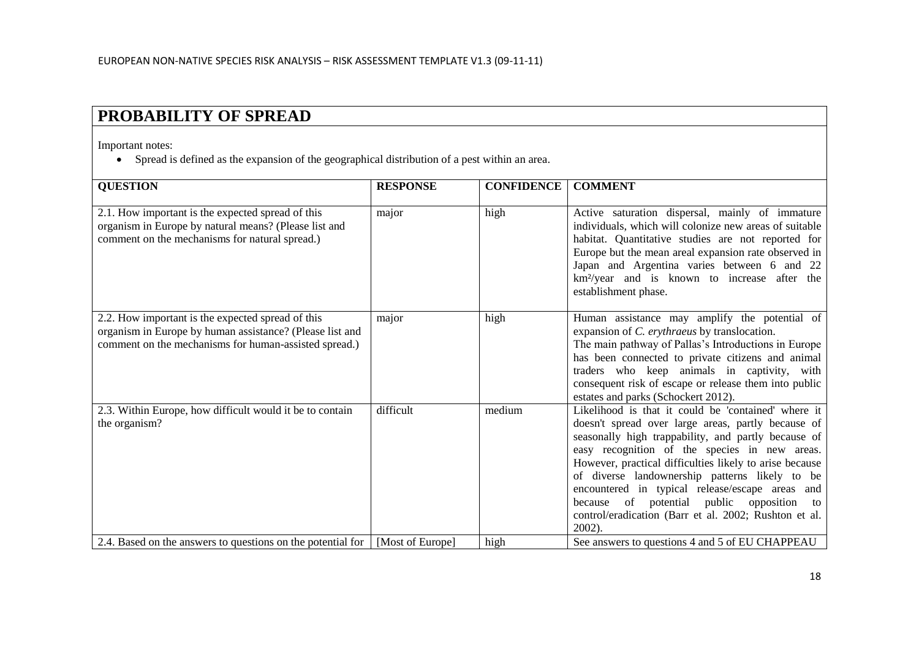# **PROBABILITY OF SPREAD**

Important notes:

• Spread is defined as the expansion of the geographical distribution of a pest within an area.

| <b>QUESTION</b>                                                                                                                                                        | <b>RESPONSE</b>  | <b>CONFIDENCE</b> | <b>COMMENT</b>                                                                                                                                                                                                                                                                                                                                                                                                                                                                                          |
|------------------------------------------------------------------------------------------------------------------------------------------------------------------------|------------------|-------------------|---------------------------------------------------------------------------------------------------------------------------------------------------------------------------------------------------------------------------------------------------------------------------------------------------------------------------------------------------------------------------------------------------------------------------------------------------------------------------------------------------------|
|                                                                                                                                                                        |                  |                   |                                                                                                                                                                                                                                                                                                                                                                                                                                                                                                         |
| 2.1. How important is the expected spread of this<br>organism in Europe by natural means? (Please list and<br>comment on the mechanisms for natural spread.)           | major            | high              | Active saturation dispersal, mainly of immature<br>individuals, which will colonize new areas of suitable<br>habitat. Quantitative studies are not reported for<br>Europe but the mean areal expansion rate observed in<br>Japan and Argentina varies between 6 and 22<br>km <sup>2</sup> /year and is known to increase after the<br>establishment phase.                                                                                                                                              |
| 2.2. How important is the expected spread of this<br>organism in Europe by human assistance? (Please list and<br>comment on the mechanisms for human-assisted spread.) | major            | high              | Human assistance may amplify the potential of<br>expansion of C. erythraeus by translocation.<br>The main pathway of Pallas's Introductions in Europe<br>has been connected to private citizens and animal<br>traders who keep animals in captivity, with<br>consequent risk of escape or release them into public<br>estates and parks (Schockert 2012).                                                                                                                                               |
| 2.3. Within Europe, how difficult would it be to contain<br>the organism?                                                                                              | difficult        | medium            | Likelihood is that it could be 'contained' where it<br>doesn't spread over large areas, partly because of<br>seasonally high trappability, and partly because of<br>easy recognition of the species in new areas.<br>However, practical difficulties likely to arise because<br>of diverse landownership patterns likely to be<br>encountered in typical release/escape areas and<br>because of potential public opposition<br>to<br>control/eradication (Barr et al. 2002; Rushton et al.<br>$2002$ ). |
| 2.4. Based on the answers to questions on the potential for                                                                                                            | [Most of Europe] | high              | See answers to questions 4 and 5 of EU CHAPPEAU                                                                                                                                                                                                                                                                                                                                                                                                                                                         |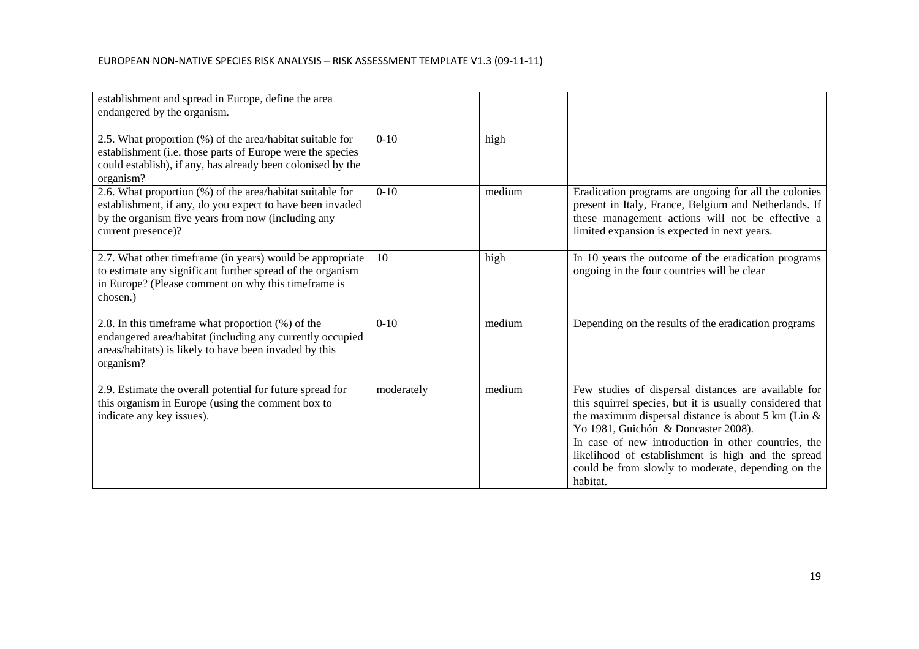| establishment and spread in Europe, define the area<br>endangered by the organism.                                                                                                                  |            |        |                                                                                                                                                                                                                                                                                                                                                                                                  |
|-----------------------------------------------------------------------------------------------------------------------------------------------------------------------------------------------------|------------|--------|--------------------------------------------------------------------------------------------------------------------------------------------------------------------------------------------------------------------------------------------------------------------------------------------------------------------------------------------------------------------------------------------------|
| 2.5. What proportion (%) of the area/habitat suitable for<br>establishment (i.e. those parts of Europe were the species<br>could establish), if any, has already been colonised by the<br>organism? | $0-10$     | high   |                                                                                                                                                                                                                                                                                                                                                                                                  |
| 2.6. What proportion (%) of the area/habitat suitable for<br>establishment, if any, do you expect to have been invaded<br>by the organism five years from now (including any<br>current presence)?  | $0-10$     | medium | Eradication programs are ongoing for all the colonies<br>present in Italy, France, Belgium and Netherlands. If<br>these management actions will not be effective a<br>limited expansion is expected in next years.                                                                                                                                                                               |
| 2.7. What other timeframe (in years) would be appropriate<br>to estimate any significant further spread of the organism<br>in Europe? (Please comment on why this timeframe is<br>chosen.)          | 10         | high   | In 10 years the outcome of the eradication programs<br>ongoing in the four countries will be clear                                                                                                                                                                                                                                                                                               |
| 2.8. In this time frame what proportion (%) of the<br>endangered area/habitat (including any currently occupied<br>areas/habitats) is likely to have been invaded by this<br>organism?              | $0-10$     | medium | Depending on the results of the eradication programs                                                                                                                                                                                                                                                                                                                                             |
| 2.9. Estimate the overall potential for future spread for<br>this organism in Europe (using the comment box to<br>indicate any key issues).                                                         | moderately | medium | Few studies of dispersal distances are available for<br>this squirrel species, but it is usually considered that<br>the maximum dispersal distance is about 5 km (Lin $\&$<br>Yo 1981, Guichón & Doncaster 2008).<br>In case of new introduction in other countries, the<br>likelihood of establishment is high and the spread<br>could be from slowly to moderate, depending on the<br>habitat. |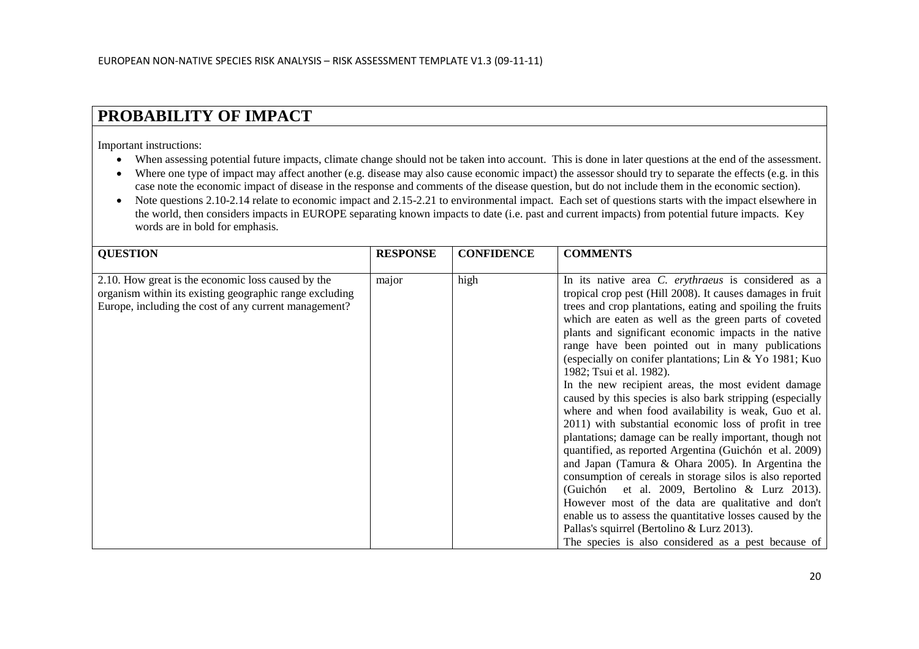# **PROBABILITY OF IMPACT**

Important instructions:

- When assessing potential future impacts, climate change should not be taken into account. This is done in later questions at the end of the assessment.
- Where one type of impact may affect another (e.g. disease may also cause economic impact) the assessor should try to separate the effects (e.g. in this case note the economic impact of disease in the response and comments of the disease question, but do not include them in the economic section).
- Note questions 2.10-2.14 relate to economic impact and 2.15-2.21 to environmental impact. Each set of questions starts with the impact elsewhere in the world, then considers impacts in EUROPE separating known impacts to date (i.e. past and current impacts) from potential future impacts. Key words are in bold for emphasis.

| <b>QUESTION</b>                                                                                                                                                        | <b>RESPONSE</b> | <b>CONFIDENCE</b> | <b>COMMENTS</b>                                                                                                                                                                                                                                                                                                                                                                                                                                                                                                                                                                                                                                                                                                                                                                                                                                                                                                                                                                                                                                                                                                                                                                                         |
|------------------------------------------------------------------------------------------------------------------------------------------------------------------------|-----------------|-------------------|---------------------------------------------------------------------------------------------------------------------------------------------------------------------------------------------------------------------------------------------------------------------------------------------------------------------------------------------------------------------------------------------------------------------------------------------------------------------------------------------------------------------------------------------------------------------------------------------------------------------------------------------------------------------------------------------------------------------------------------------------------------------------------------------------------------------------------------------------------------------------------------------------------------------------------------------------------------------------------------------------------------------------------------------------------------------------------------------------------------------------------------------------------------------------------------------------------|
| 2.10. How great is the economic loss caused by the<br>organism within its existing geographic range excluding<br>Europe, including the cost of any current management? | major           | high              | In its native area C. erythraeus is considered as a<br>tropical crop pest (Hill 2008). It causes damages in fruit<br>trees and crop plantations, eating and spoiling the fruits<br>which are eaten as well as the green parts of coveted<br>plants and significant economic impacts in the native<br>range have been pointed out in many publications<br>(especially on conifer plantations; Lin & Yo 1981; Kuo<br>1982; Tsui et al. 1982).<br>In the new recipient areas, the most evident damage<br>caused by this species is also bark stripping (especially<br>where and when food availability is weak, Guo et al.<br>2011) with substantial economic loss of profit in tree<br>plantations; damage can be really important, though not<br>quantified, as reported Argentina (Guichón et al. 2009)<br>and Japan (Tamura & Ohara 2005). In Argentina the<br>consumption of cereals in storage silos is also reported<br>et al. 2009, Bertolino $\&$ Lurz 2013).<br>(Guichón<br>However most of the data are qualitative and don't<br>enable us to assess the quantitative losses caused by the<br>Pallas's squirrel (Bertolino & Lurz 2013).<br>The species is also considered as a pest because of |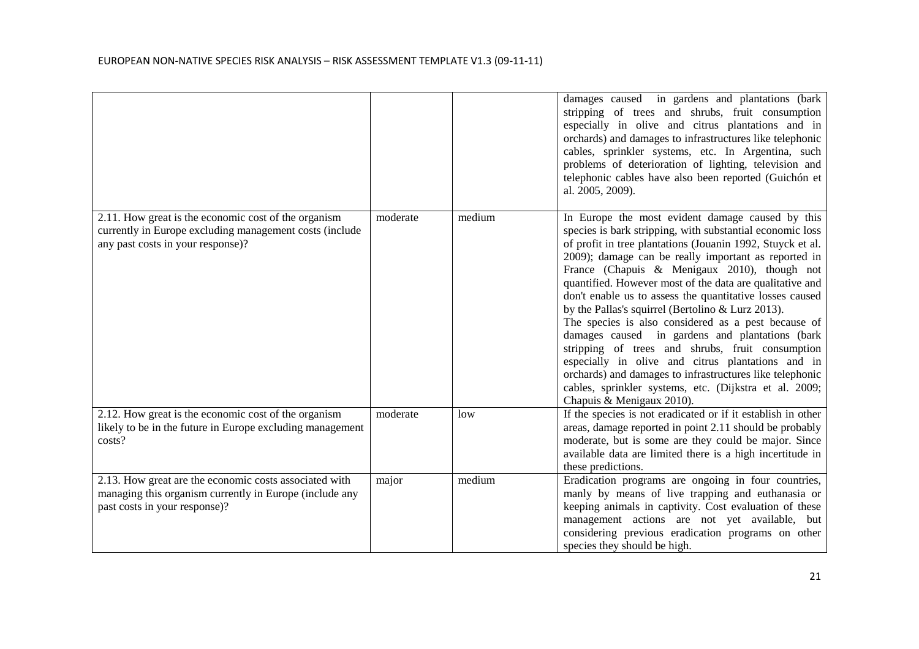|                                                                                                                                                      |          |        | damages caused in gardens and plantations (bark<br>stripping of trees and shrubs, fruit consumption<br>especially in olive and citrus plantations and in<br>orchards) and damages to infrastructures like telephonic<br>cables, sprinkler systems, etc. In Argentina, such<br>problems of deterioration of lighting, television and<br>telephonic cables have also been reported (Guichón et<br>al. 2005, 2009).                                                                                                                                                                                                                                                                                                                                                                                                                          |
|------------------------------------------------------------------------------------------------------------------------------------------------------|----------|--------|-------------------------------------------------------------------------------------------------------------------------------------------------------------------------------------------------------------------------------------------------------------------------------------------------------------------------------------------------------------------------------------------------------------------------------------------------------------------------------------------------------------------------------------------------------------------------------------------------------------------------------------------------------------------------------------------------------------------------------------------------------------------------------------------------------------------------------------------|
| 2.11. How great is the economic cost of the organism<br>currently in Europe excluding management costs (include<br>any past costs in your response)? | moderate | medium | In Europe the most evident damage caused by this<br>species is bark stripping, with substantial economic loss<br>of profit in tree plantations (Jouanin 1992, Stuyck et al.<br>2009); damage can be really important as reported in<br>France (Chapuis & Menigaux 2010), though not<br>quantified. However most of the data are qualitative and<br>don't enable us to assess the quantitative losses caused<br>by the Pallas's squirrel (Bertolino $& Lurz 2013$ ).<br>The species is also considered as a pest because of<br>damages caused in gardens and plantations (bark<br>stripping of trees and shrubs, fruit consumption<br>especially in olive and citrus plantations and in<br>orchards) and damages to infrastructures like telephonic<br>cables, sprinkler systems, etc. (Dijkstra et al. 2009;<br>Chapuis & Menigaux 2010). |
| 2.12. How great is the economic cost of the organism<br>likely to be in the future in Europe excluding management<br>costs?                          | moderate | low    | If the species is not eradicated or if it establish in other<br>areas, damage reported in point 2.11 should be probably<br>moderate, but is some are they could be major. Since<br>available data are limited there is a high incertitude in<br>these predictions.                                                                                                                                                                                                                                                                                                                                                                                                                                                                                                                                                                        |
| 2.13. How great are the economic costs associated with<br>managing this organism currently in Europe (include any<br>past costs in your response)?   | major    | medium | Eradication programs are ongoing in four countries,<br>manly by means of live trapping and euthanasia or<br>keeping animals in captivity. Cost evaluation of these<br>management actions are not yet available, but<br>considering previous eradication programs on other<br>species they should be high.                                                                                                                                                                                                                                                                                                                                                                                                                                                                                                                                 |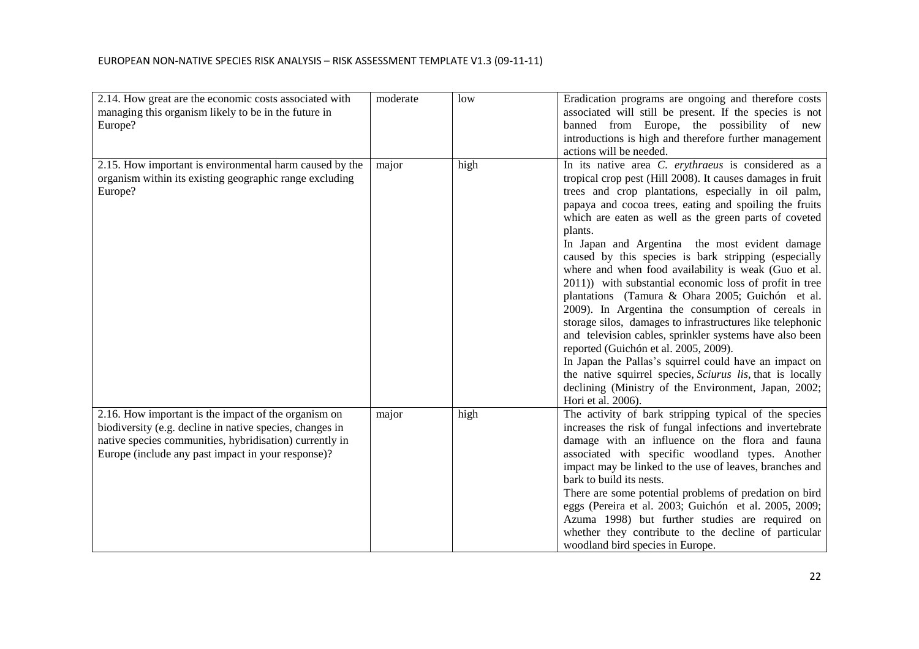| introductions is high and therefore further management<br>actions will be needed.<br>In its native area C. erythraeus is considered as a<br>2.15. How important is environmental harm caused by the<br>high<br>major<br>tropical crop pest (Hill 2008). It causes damages in fruit<br>organism within its existing geographic range excluding<br>Europe?<br>trees and crop plantations, especially in oil palm,<br>papaya and cocoa trees, eating and spoiling the fruits<br>which are eaten as well as the green parts of coveted<br>plants.<br>In Japan and Argentina the most evident damage<br>caused by this species is bark stripping (especially<br>where and when food availability is weak (Guo et al.<br>2011)) with substantial economic loss of profit in tree<br>plantations (Tamura & Ohara 2005; Guichón et al.<br>2009). In Argentina the consumption of cereals in<br>storage silos, damages to infrastructures like telephonic<br>and television cables, sprinkler systems have also been<br>reported (Guichón et al. 2005, 2009).<br>In Japan the Pallas's squirrel could have an impact on<br>the native squirrel species, Sciurus lis, that is locally<br>declining (Ministry of the Environment, Japan, 2002;<br>Hori et al. 2006).<br>The activity of bark stripping typical of the species<br>2.16. How important is the impact of the organism on<br>major<br>high<br>biodiversity (e.g. decline in native species, changes in<br>increases the risk of fungal infections and invertebrate<br>native species communities, hybridisation) currently in<br>damage with an influence on the flora and fauna<br>Europe (include any past impact in your response)?<br>associated with specific woodland types. Another<br>impact may be linked to the use of leaves, branches and<br>bark to build its nests.<br>There are some potential problems of predation on bird<br>eggs (Pereira et al. 2003; Guichón et al. 2005, 2009;<br>Azuma 1998) but further studies are required on | 2.14. How great are the economic costs associated with<br>managing this organism likely to be in the future in | moderate | low | Eradication programs are ongoing and therefore costs<br>associated will still be present. If the species is not |
|----------------------------------------------------------------------------------------------------------------------------------------------------------------------------------------------------------------------------------------------------------------------------------------------------------------------------------------------------------------------------------------------------------------------------------------------------------------------------------------------------------------------------------------------------------------------------------------------------------------------------------------------------------------------------------------------------------------------------------------------------------------------------------------------------------------------------------------------------------------------------------------------------------------------------------------------------------------------------------------------------------------------------------------------------------------------------------------------------------------------------------------------------------------------------------------------------------------------------------------------------------------------------------------------------------------------------------------------------------------------------------------------------------------------------------------------------------------------------------------------------------------------------------------------------------------------------------------------------------------------------------------------------------------------------------------------------------------------------------------------------------------------------------------------------------------------------------------------------------------------------------------------------------------------------------------------------------------------------------------------------------|----------------------------------------------------------------------------------------------------------------|----------|-----|-----------------------------------------------------------------------------------------------------------------|
|                                                                                                                                                                                                                                                                                                                                                                                                                                                                                                                                                                                                                                                                                                                                                                                                                                                                                                                                                                                                                                                                                                                                                                                                                                                                                                                                                                                                                                                                                                                                                                                                                                                                                                                                                                                                                                                                                                                                                                                                          | Europe?                                                                                                        |          |     | banned from Europe, the possibility of new                                                                      |
|                                                                                                                                                                                                                                                                                                                                                                                                                                                                                                                                                                                                                                                                                                                                                                                                                                                                                                                                                                                                                                                                                                                                                                                                                                                                                                                                                                                                                                                                                                                                                                                                                                                                                                                                                                                                                                                                                                                                                                                                          |                                                                                                                |          |     |                                                                                                                 |
|                                                                                                                                                                                                                                                                                                                                                                                                                                                                                                                                                                                                                                                                                                                                                                                                                                                                                                                                                                                                                                                                                                                                                                                                                                                                                                                                                                                                                                                                                                                                                                                                                                                                                                                                                                                                                                                                                                                                                                                                          |                                                                                                                |          |     |                                                                                                                 |
|                                                                                                                                                                                                                                                                                                                                                                                                                                                                                                                                                                                                                                                                                                                                                                                                                                                                                                                                                                                                                                                                                                                                                                                                                                                                                                                                                                                                                                                                                                                                                                                                                                                                                                                                                                                                                                                                                                                                                                                                          |                                                                                                                |          |     |                                                                                                                 |
|                                                                                                                                                                                                                                                                                                                                                                                                                                                                                                                                                                                                                                                                                                                                                                                                                                                                                                                                                                                                                                                                                                                                                                                                                                                                                                                                                                                                                                                                                                                                                                                                                                                                                                                                                                                                                                                                                                                                                                                                          |                                                                                                                |          |     |                                                                                                                 |
|                                                                                                                                                                                                                                                                                                                                                                                                                                                                                                                                                                                                                                                                                                                                                                                                                                                                                                                                                                                                                                                                                                                                                                                                                                                                                                                                                                                                                                                                                                                                                                                                                                                                                                                                                                                                                                                                                                                                                                                                          |                                                                                                                |          |     |                                                                                                                 |
|                                                                                                                                                                                                                                                                                                                                                                                                                                                                                                                                                                                                                                                                                                                                                                                                                                                                                                                                                                                                                                                                                                                                                                                                                                                                                                                                                                                                                                                                                                                                                                                                                                                                                                                                                                                                                                                                                                                                                                                                          |                                                                                                                |          |     |                                                                                                                 |
|                                                                                                                                                                                                                                                                                                                                                                                                                                                                                                                                                                                                                                                                                                                                                                                                                                                                                                                                                                                                                                                                                                                                                                                                                                                                                                                                                                                                                                                                                                                                                                                                                                                                                                                                                                                                                                                                                                                                                                                                          |                                                                                                                |          |     |                                                                                                                 |
|                                                                                                                                                                                                                                                                                                                                                                                                                                                                                                                                                                                                                                                                                                                                                                                                                                                                                                                                                                                                                                                                                                                                                                                                                                                                                                                                                                                                                                                                                                                                                                                                                                                                                                                                                                                                                                                                                                                                                                                                          |                                                                                                                |          |     |                                                                                                                 |
|                                                                                                                                                                                                                                                                                                                                                                                                                                                                                                                                                                                                                                                                                                                                                                                                                                                                                                                                                                                                                                                                                                                                                                                                                                                                                                                                                                                                                                                                                                                                                                                                                                                                                                                                                                                                                                                                                                                                                                                                          |                                                                                                                |          |     |                                                                                                                 |
|                                                                                                                                                                                                                                                                                                                                                                                                                                                                                                                                                                                                                                                                                                                                                                                                                                                                                                                                                                                                                                                                                                                                                                                                                                                                                                                                                                                                                                                                                                                                                                                                                                                                                                                                                                                                                                                                                                                                                                                                          |                                                                                                                |          |     |                                                                                                                 |
|                                                                                                                                                                                                                                                                                                                                                                                                                                                                                                                                                                                                                                                                                                                                                                                                                                                                                                                                                                                                                                                                                                                                                                                                                                                                                                                                                                                                                                                                                                                                                                                                                                                                                                                                                                                                                                                                                                                                                                                                          |                                                                                                                |          |     |                                                                                                                 |
|                                                                                                                                                                                                                                                                                                                                                                                                                                                                                                                                                                                                                                                                                                                                                                                                                                                                                                                                                                                                                                                                                                                                                                                                                                                                                                                                                                                                                                                                                                                                                                                                                                                                                                                                                                                                                                                                                                                                                                                                          |                                                                                                                |          |     |                                                                                                                 |
|                                                                                                                                                                                                                                                                                                                                                                                                                                                                                                                                                                                                                                                                                                                                                                                                                                                                                                                                                                                                                                                                                                                                                                                                                                                                                                                                                                                                                                                                                                                                                                                                                                                                                                                                                                                                                                                                                                                                                                                                          |                                                                                                                |          |     |                                                                                                                 |
|                                                                                                                                                                                                                                                                                                                                                                                                                                                                                                                                                                                                                                                                                                                                                                                                                                                                                                                                                                                                                                                                                                                                                                                                                                                                                                                                                                                                                                                                                                                                                                                                                                                                                                                                                                                                                                                                                                                                                                                                          |                                                                                                                |          |     |                                                                                                                 |
|                                                                                                                                                                                                                                                                                                                                                                                                                                                                                                                                                                                                                                                                                                                                                                                                                                                                                                                                                                                                                                                                                                                                                                                                                                                                                                                                                                                                                                                                                                                                                                                                                                                                                                                                                                                                                                                                                                                                                                                                          |                                                                                                                |          |     |                                                                                                                 |
|                                                                                                                                                                                                                                                                                                                                                                                                                                                                                                                                                                                                                                                                                                                                                                                                                                                                                                                                                                                                                                                                                                                                                                                                                                                                                                                                                                                                                                                                                                                                                                                                                                                                                                                                                                                                                                                                                                                                                                                                          |                                                                                                                |          |     |                                                                                                                 |
|                                                                                                                                                                                                                                                                                                                                                                                                                                                                                                                                                                                                                                                                                                                                                                                                                                                                                                                                                                                                                                                                                                                                                                                                                                                                                                                                                                                                                                                                                                                                                                                                                                                                                                                                                                                                                                                                                                                                                                                                          |                                                                                                                |          |     |                                                                                                                 |
| woodland bird species in Europe.                                                                                                                                                                                                                                                                                                                                                                                                                                                                                                                                                                                                                                                                                                                                                                                                                                                                                                                                                                                                                                                                                                                                                                                                                                                                                                                                                                                                                                                                                                                                                                                                                                                                                                                                                                                                                                                                                                                                                                         |                                                                                                                |          |     | whether they contribute to the decline of particular                                                            |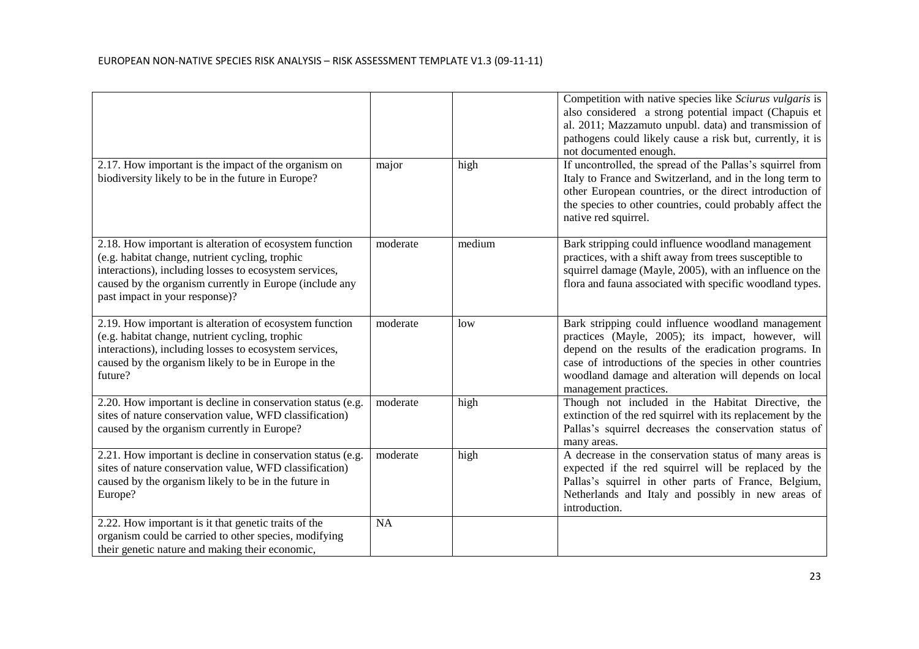|                                                                                                                                                                                                                                                                   |           |        | Competition with native species like Sciurus vulgaris is<br>also considered a strong potential impact (Chapuis et<br>al. 2011; Mazzamuto unpubl. data) and transmission of<br>pathogens could likely cause a risk but, currently, it is<br>not documented enough.                                             |
|-------------------------------------------------------------------------------------------------------------------------------------------------------------------------------------------------------------------------------------------------------------------|-----------|--------|---------------------------------------------------------------------------------------------------------------------------------------------------------------------------------------------------------------------------------------------------------------------------------------------------------------|
| 2.17. How important is the impact of the organism on<br>biodiversity likely to be in the future in Europe?                                                                                                                                                        | major     | high   | If uncontrolled, the spread of the Pallas's squirrel from<br>Italy to France and Switzerland, and in the long term to<br>other European countries, or the direct introduction of<br>the species to other countries, could probably affect the<br>native red squirrel.                                         |
| 2.18. How important is alteration of ecosystem function<br>(e.g. habitat change, nutrient cycling, trophic<br>interactions), including losses to ecosystem services,<br>caused by the organism currently in Europe (include any<br>past impact in your response)? | moderate  | medium | Bark stripping could influence woodland management<br>practices, with a shift away from trees susceptible to<br>squirrel damage (Mayle, 2005), with an influence on the<br>flora and fauna associated with specific woodland types.                                                                           |
| 2.19. How important is alteration of ecosystem function<br>(e.g. habitat change, nutrient cycling, trophic<br>interactions), including losses to ecosystem services,<br>caused by the organism likely to be in Europe in the<br>future?                           | moderate  | low    | Bark stripping could influence woodland management<br>practices (Mayle, 2005); its impact, however, will<br>depend on the results of the eradication programs. In<br>case of introductions of the species in other countries<br>woodland damage and alteration will depends on local<br>management practices. |
| 2.20. How important is decline in conservation status (e.g.<br>sites of nature conservation value, WFD classification)<br>caused by the organism currently in Europe?                                                                                             | moderate  | high   | Though not included in the Habitat Directive, the<br>extinction of the red squirrel with its replacement by the<br>Pallas's squirrel decreases the conservation status of<br>many areas.                                                                                                                      |
| 2.21. How important is decline in conservation status (e.g.<br>sites of nature conservation value, WFD classification)<br>caused by the organism likely to be in the future in<br>Europe?                                                                         | moderate  | high   | A decrease in the conservation status of many areas is<br>expected if the red squirrel will be replaced by the<br>Pallas's squirrel in other parts of France, Belgium,<br>Netherlands and Italy and possibly in new areas of<br>introduction.                                                                 |
| 2.22. How important is it that genetic traits of the<br>organism could be carried to other species, modifying<br>their genetic nature and making their economic,                                                                                                  | <b>NA</b> |        |                                                                                                                                                                                                                                                                                                               |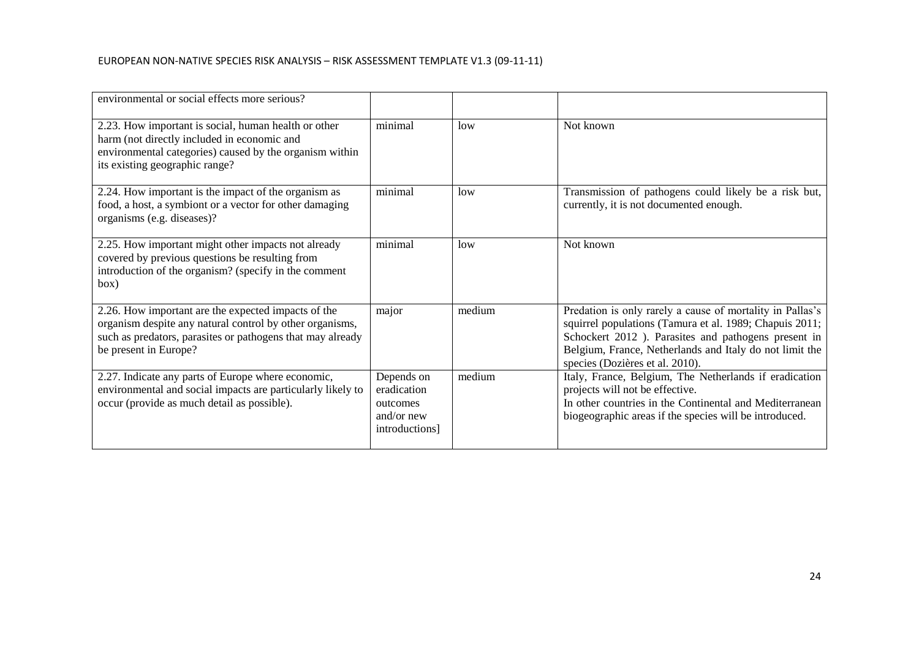| environmental or social effects more serious?                                                                                                                                                          |                                                                       |                 |                                                                                                                                                                                                                                                                            |
|--------------------------------------------------------------------------------------------------------------------------------------------------------------------------------------------------------|-----------------------------------------------------------------------|-----------------|----------------------------------------------------------------------------------------------------------------------------------------------------------------------------------------------------------------------------------------------------------------------------|
| 2.23. How important is social, human health or other<br>harm (not directly included in economic and<br>environmental categories) caused by the organism within<br>its existing geographic range?       | minimal                                                               | low             | Not known                                                                                                                                                                                                                                                                  |
| 2.24. How important is the impact of the organism as<br>food, a host, a symbiont or a vector for other damaging<br>organisms (e.g. diseases)?                                                          | minimal                                                               | low             | Transmission of pathogens could likely be a risk but,<br>currently, it is not documented enough.                                                                                                                                                                           |
| 2.25. How important might other impacts not already<br>covered by previous questions be resulting from<br>introduction of the organism? (specify in the comment<br>box)                                | minimal                                                               | 1 <sub>ow</sub> | Not known                                                                                                                                                                                                                                                                  |
| 2.26. How important are the expected impacts of the<br>organism despite any natural control by other organisms,<br>such as predators, parasites or pathogens that may already<br>be present in Europe? | major                                                                 | medium          | Predation is only rarely a cause of mortality in Pallas's<br>squirrel populations (Tamura et al. 1989; Chapuis 2011;<br>Schockert 2012 ). Parasites and pathogens present in<br>Belgium, France, Netherlands and Italy do not limit the<br>species (Dozières et al. 2010). |
| 2.27. Indicate any parts of Europe where economic,<br>environmental and social impacts are particularly likely to<br>occur (provide as much detail as possible).                                       | Depends on<br>eradication<br>outcomes<br>and/or new<br>introductions] | medium          | Italy, France, Belgium, The Netherlands if eradication<br>projects will not be effective.<br>In other countries in the Continental and Mediterranean<br>biogeographic areas if the species will be introduced.                                                             |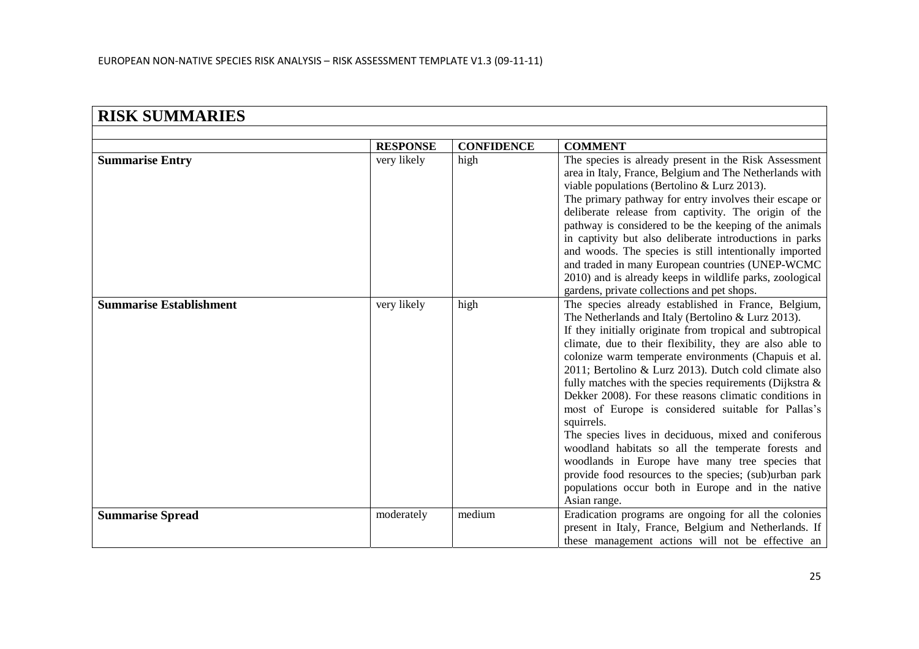| <b>RISK SUMMARIES</b>          |                 |                   |                                                                                                                                                                                                                                                                                                                                                                                                                                                                                                                                                                                                                                                                                                                                                                                                                                                  |  |
|--------------------------------|-----------------|-------------------|--------------------------------------------------------------------------------------------------------------------------------------------------------------------------------------------------------------------------------------------------------------------------------------------------------------------------------------------------------------------------------------------------------------------------------------------------------------------------------------------------------------------------------------------------------------------------------------------------------------------------------------------------------------------------------------------------------------------------------------------------------------------------------------------------------------------------------------------------|--|
|                                |                 |                   |                                                                                                                                                                                                                                                                                                                                                                                                                                                                                                                                                                                                                                                                                                                                                                                                                                                  |  |
|                                | <b>RESPONSE</b> | <b>CONFIDENCE</b> | <b>COMMENT</b>                                                                                                                                                                                                                                                                                                                                                                                                                                                                                                                                                                                                                                                                                                                                                                                                                                   |  |
| <b>Summarise Entry</b>         | very likely     | high              | The species is already present in the Risk Assessment<br>area in Italy, France, Belgium and The Netherlands with<br>viable populations (Bertolino & Lurz 2013).<br>The primary pathway for entry involves their escape or<br>deliberate release from captivity. The origin of the<br>pathway is considered to be the keeping of the animals<br>in captivity but also deliberate introductions in parks<br>and woods. The species is still intentionally imported<br>and traded in many European countries (UNEP-WCMC<br>2010) and is already keeps in wildlife parks, zoological                                                                                                                                                                                                                                                                 |  |
|                                |                 |                   | gardens, private collections and pet shops.                                                                                                                                                                                                                                                                                                                                                                                                                                                                                                                                                                                                                                                                                                                                                                                                      |  |
| <b>Summarise Establishment</b> | very likely     | high              | The species already established in France, Belgium,<br>The Netherlands and Italy (Bertolino & Lurz 2013).<br>If they initially originate from tropical and subtropical<br>climate, due to their flexibility, they are also able to<br>colonize warm temperate environments (Chapuis et al.<br>2011; Bertolino & Lurz 2013). Dutch cold climate also<br>fully matches with the species requirements (Dijkstra $\&$<br>Dekker 2008). For these reasons climatic conditions in<br>most of Europe is considered suitable for Pallas's<br>squirrels.<br>The species lives in deciduous, mixed and coniferous<br>woodland habitats so all the temperate forests and<br>woodlands in Europe have many tree species that<br>provide food resources to the species; (sub)urban park<br>populations occur both in Europe and in the native<br>Asian range. |  |
| <b>Summarise Spread</b>        | moderately      | medium            | Eradication programs are ongoing for all the colonies<br>present in Italy, France, Belgium and Netherlands. If<br>these management actions will not be effective an                                                                                                                                                                                                                                                                                                                                                                                                                                                                                                                                                                                                                                                                              |  |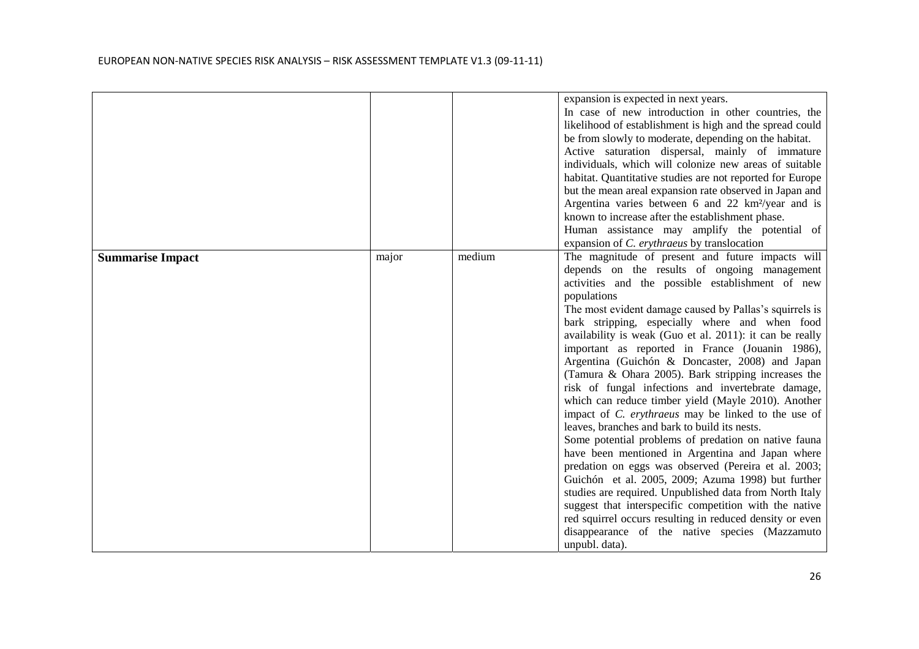|                         |       |        | expansion is expected in next years.                           |
|-------------------------|-------|--------|----------------------------------------------------------------|
|                         |       |        | In case of new introduction in other countries, the            |
|                         |       |        | likelihood of establishment is high and the spread could       |
|                         |       |        | be from slowly to moderate, depending on the habitat.          |
|                         |       |        | Active saturation dispersal, mainly of immature                |
|                         |       |        | individuals, which will colonize new areas of suitable         |
|                         |       |        | habitat. Quantitative studies are not reported for Europe      |
|                         |       |        | but the mean areal expansion rate observed in Japan and        |
|                         |       |        | Argentina varies between 6 and 22 km <sup>2</sup> /year and is |
|                         |       |        | known to increase after the establishment phase.               |
|                         |       |        | Human assistance may amplify the potential of                  |
|                         |       |        | expansion of C. erythraeus by translocation                    |
| <b>Summarise Impact</b> | major | medium | The magnitude of present and future impacts will               |
|                         |       |        | depends on the results of ongoing management                   |
|                         |       |        | activities and the possible establishment of new               |
|                         |       |        | populations                                                    |
|                         |       |        | The most evident damage caused by Pallas's squirrels is        |
|                         |       |        | bark stripping, especially where and when food                 |
|                         |       |        | availability is weak (Guo et al. 2011): it can be really       |
|                         |       |        | important as reported in France (Jouanin 1986),                |
|                         |       |        | Argentina (Guichón & Doncaster, 2008) and Japan                |
|                         |       |        | (Tamura & Ohara 2005). Bark stripping increases the            |
|                         |       |        | risk of fungal infections and invertebrate damage,             |
|                         |       |        | which can reduce timber yield (Mayle 2010). Another            |
|                         |       |        | impact of <i>C. erythraeus</i> may be linked to the use of     |
|                         |       |        | leaves, branches and bark to build its nests.                  |
|                         |       |        | Some potential problems of predation on native fauna           |
|                         |       |        | have been mentioned in Argentina and Japan where               |
|                         |       |        | predation on eggs was observed (Pereira et al. 2003;           |
|                         |       |        | Guichón et al. 2005, 2009; Azuma 1998) but further             |
|                         |       |        | studies are required. Unpublished data from North Italy        |
|                         |       |        | suggest that interspecific competition with the native         |
|                         |       |        | red squirrel occurs resulting in reduced density or even       |
|                         |       |        | disappearance of the native species (Mazzamuto                 |
|                         |       |        | unpubl. data).                                                 |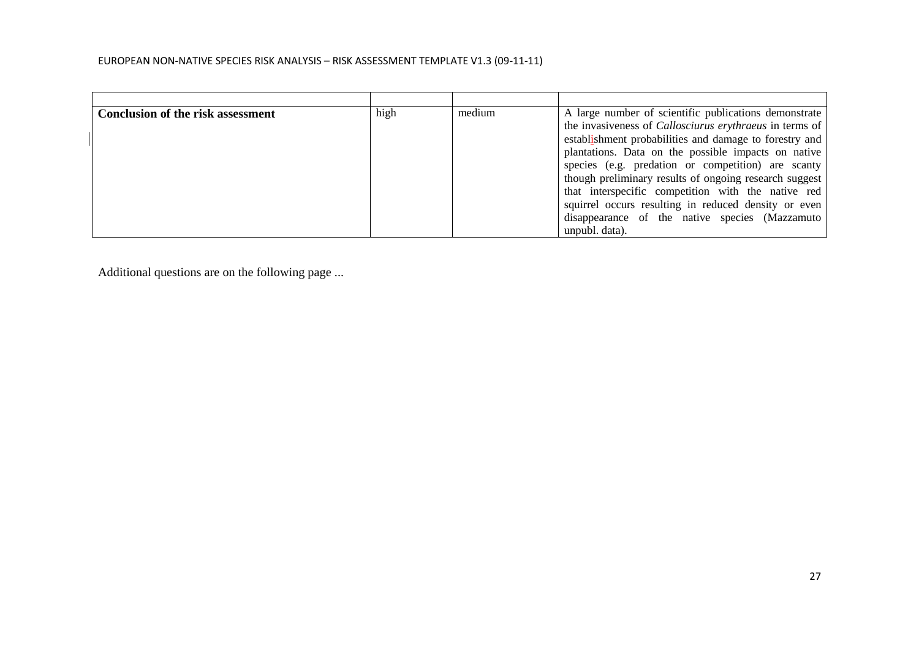| <b>Conclusion of the risk assessment</b> | high | medium | A large number of scientific publications demonstrate          |
|------------------------------------------|------|--------|----------------------------------------------------------------|
|                                          |      |        | the invasiveness of <i>Callosciurus erythraeus</i> in terms of |
|                                          |      |        | establishment probabilities and damage to forestry and         |
|                                          |      |        | plantations. Data on the possible impacts on native            |
|                                          |      |        | species (e.g. predation or competition) are scanty             |
|                                          |      |        | though preliminary results of ongoing research suggest         |
|                                          |      |        | that interspecific competition with the native red             |
|                                          |      |        | squirrel occurs resulting in reduced density or even           |
|                                          |      |        | disappearance of the native species (Mazzamuto                 |
|                                          |      |        | unpubl. data).                                                 |

Additional questions are on the following page ...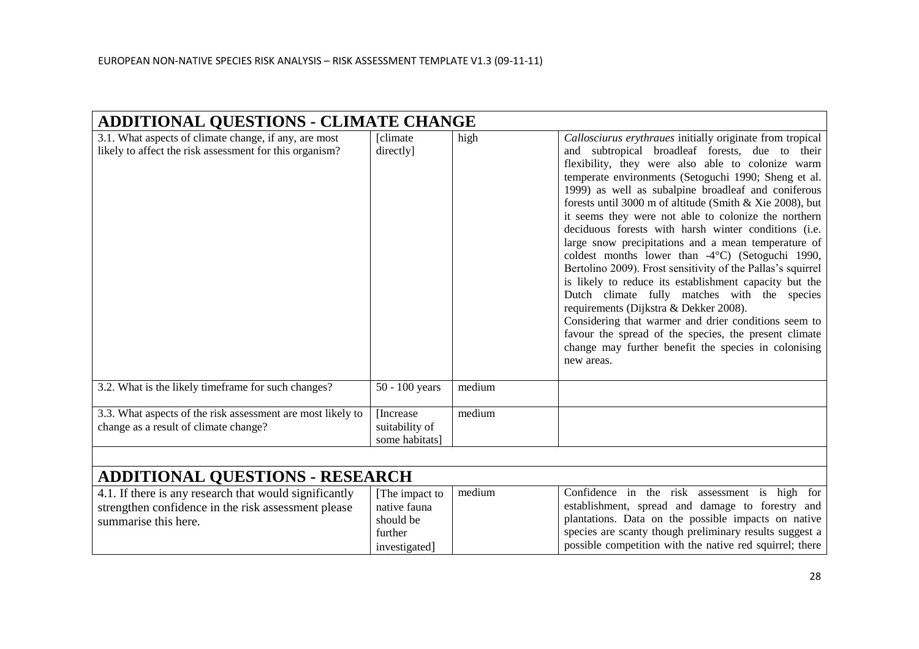| <b>ADDITIONAL QUESTIONS - CLIMATE CHANGE</b>                                                                                          |                                                        |        |                                                                                                                                                                                                                                                                                                                                                                                                                                                                                                                                                                                                                                                                                                                                                                                                                                                                                                                                                                                   |  |
|---------------------------------------------------------------------------------------------------------------------------------------|--------------------------------------------------------|--------|-----------------------------------------------------------------------------------------------------------------------------------------------------------------------------------------------------------------------------------------------------------------------------------------------------------------------------------------------------------------------------------------------------------------------------------------------------------------------------------------------------------------------------------------------------------------------------------------------------------------------------------------------------------------------------------------------------------------------------------------------------------------------------------------------------------------------------------------------------------------------------------------------------------------------------------------------------------------------------------|--|
| 3.1. What aspects of climate change, if any, are most<br>likely to affect the risk assessment for this organism?                      | [climate]<br>directly]                                 | high   | Callosciurus erythraues initially originate from tropical<br>and subtropical broadleaf forests, due to their<br>flexibility, they were also able to colonize warm<br>temperate environments (Setoguchi 1990; Sheng et al.<br>1999) as well as subalpine broadleaf and coniferous<br>forests until 3000 m of altitude (Smith & Xie 2008), but<br>it seems they were not able to colonize the northern<br>deciduous forests with harsh winter conditions (i.e.<br>large snow precipitations and a mean temperature of<br>coldest months lower than -4°C) (Setoguchi 1990,<br>Bertolino 2009). Frost sensitivity of the Pallas's squirrel<br>is likely to reduce its establishment capacity but the<br>Dutch climate fully matches with the species<br>requirements (Dijkstra & Dekker 2008).<br>Considering that warmer and drier conditions seem to<br>favour the spread of the species, the present climate<br>change may further benefit the species in colonising<br>new areas. |  |
| 3.2. What is the likely timeframe for such changes?                                                                                   | 50 - 100 years                                         | medium |                                                                                                                                                                                                                                                                                                                                                                                                                                                                                                                                                                                                                                                                                                                                                                                                                                                                                                                                                                                   |  |
| 3.3. What aspects of the risk assessment are most likely to<br>change as a result of climate change?                                  | [Increase]<br>suitability of<br>some habitats]         | medium |                                                                                                                                                                                                                                                                                                                                                                                                                                                                                                                                                                                                                                                                                                                                                                                                                                                                                                                                                                                   |  |
|                                                                                                                                       |                                                        |        |                                                                                                                                                                                                                                                                                                                                                                                                                                                                                                                                                                                                                                                                                                                                                                                                                                                                                                                                                                                   |  |
| <b>ADDITIONAL QUESTIONS - RESEARCH</b>                                                                                                |                                                        |        |                                                                                                                                                                                                                                                                                                                                                                                                                                                                                                                                                                                                                                                                                                                                                                                                                                                                                                                                                                                   |  |
| 4.1. If there is any research that would significantly<br>strengthen confidence in the risk assessment please<br>summarise this here. | [The impact to<br>native fauna<br>should be<br>further | medium | Confidence in the risk assessment is high for<br>establishment, spread and damage to forestry and<br>plantations. Data on the possible impacts on native<br>species are scanty though preliminary results suggest a                                                                                                                                                                                                                                                                                                                                                                                                                                                                                                                                                                                                                                                                                                                                                               |  |

investigated]

possible competition with the native red squirrel; there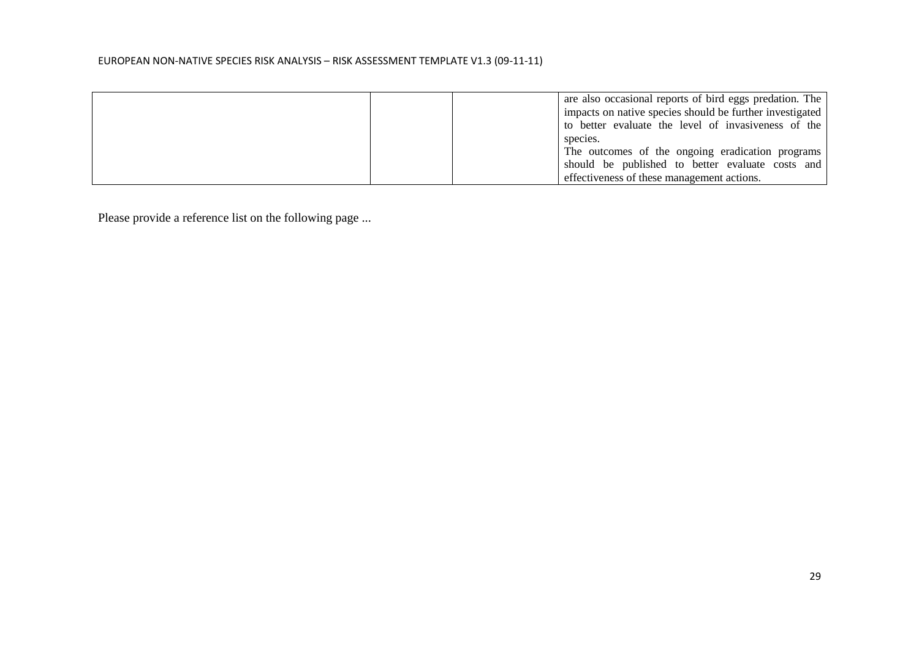|  | are also occasional reports of bird eggs predation. The  |
|--|----------------------------------------------------------|
|  | impacts on native species should be further investigated |
|  | to better evaluate the level of invasiveness of the      |
|  | species.                                                 |
|  | The outcomes of the ongoing eradication programs         |
|  | should be published to better evaluate costs and         |
|  | effectiveness of these management actions.               |

Please provide a reference list on the following page ...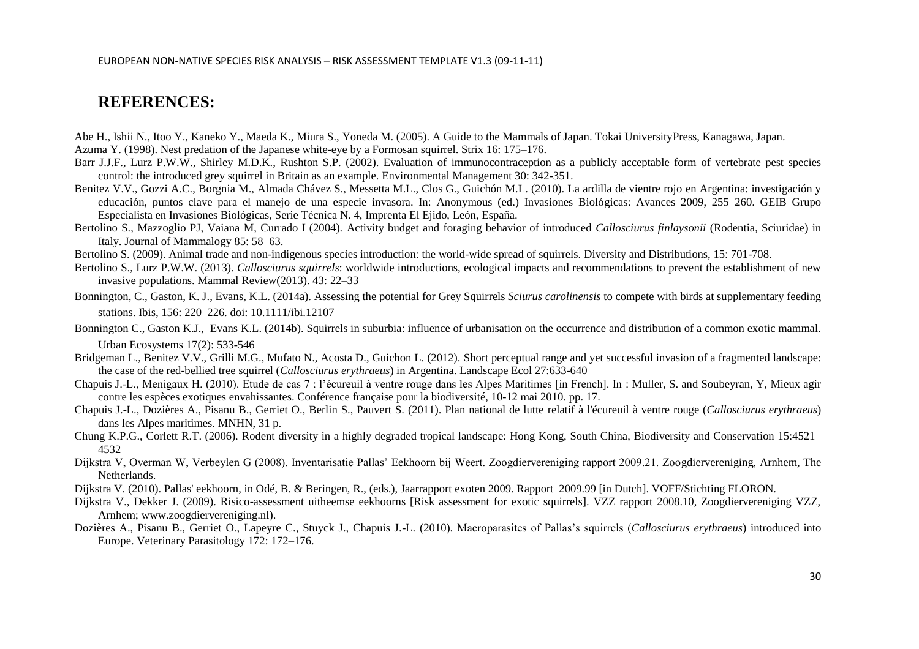## **REFERENCES:**

Abe H., Ishii N., Itoo Y., Kaneko Y., Maeda K., Miura S., Yoneda M. (2005). A Guide to the Mammals of Japan. Tokai UniversityPress, Kanagawa, Japan. Azuma Y. (1998). Nest predation of the Japanese white-eye by a Formosan squirrel. Strix 16: 175–176.

- Barr J.J.F., Lurz P.W.W., Shirley M.D.K., Rushton S.P. (2002). Evaluation of immunocontraception as a publicly acceptable form of vertebrate pest species control: the introduced grey squirrel in Britain as an example. Environmental Management 30: 342-351.
- Benitez V.V., Gozzi A.C., Borgnia M., Almada Chávez S., Messetta M.L., Clos G., Guichón M.L. (2010). La ardilla de vientre rojo en Argentina: investigación y educación, puntos clave para el manejo de una especie invasora. In: Anonymous (ed.) Invasiones Biológicas: Avances 2009, 255–260. GEIB Grupo Especialista en Invasiones Biológicas, Serie Técnica N. 4, Imprenta El Ejido, León, España.
- Bertolino S., Mazzoglio PJ, Vaiana M, Currado I (2004). Activity budget and foraging behavior of introduced *Callosciurus finlaysonii* (Rodentia, Sciuridae) in Italy. Journal of Mammalogy 85: 58–63.
- Bertolino S. (2009). Animal trade and non-indigenous species introduction: the world-wide spread of squirrels. Diversity and Distributions, 15: 701-708.
- Bertolino S., Lurz P.W.W. (2013). *Callosciurus squirrels*: worldwide introductions, ecological impacts and recommendations to prevent the establishment of new invasive populations. Mammal Review(2013). 43: 22–33
- Bonnington, C., Gaston, K. J., Evans, K.L. (2014a). Assessing the potential for Grey Squirrels *Sciurus carolinensis* to compete with birds at supplementary feeding stations. Ibis, 156: 220–226. doi: 10.1111/ibi.12107
- Bonnington C., Gaston K.J., Evans K.L. (2014b). Squirrels in suburbia: influence of urbanisation on the occurrence and distribution of a common exotic mammal. Urban Ecosystems 17(2): 533-546
- Bridgeman L., Benitez V.V., Grilli M.G., Mufato N., Acosta D., Guichon L. (2012). Short perceptual range and yet successful invasion of a fragmented landscape: the case of the red-bellied tree squirrel (*Callosciurus erythraeus*) in Argentina. Landscape Ecol 27:633-640
- Chapuis J.-L., Menigaux H. (2010). Etude de cas 7 : l'écureuil à ventre rouge dans les Alpes Maritimes [in French]. In : Muller, S. and Soubeyran, Y, Mieux agir contre les espèces exotiques envahissantes. Conférence française pour la biodiversité, 10-12 mai 2010. pp. 17.
- Chapuis J.-L., Dozières A., Pisanu B., Gerriet O., Berlin S., Pauvert S. (2011). Plan national de lutte relatif à l'écureuil à ventre rouge (*Callosciurus erythraeus*) dans les Alpes maritimes. MNHN, 31 p.
- Chung K.P.G., Corlett R.T. (2006). Rodent diversity in a highly degraded tropical landscape: Hong Kong, South China, Biodiversity and Conservation 15:4521– 4532
- Dijkstra V, Overman W, Verbeylen G (2008). Inventarisatie Pallas' Eekhoorn bij Weert. Zoogdiervereniging rapport 2009.21. Zoogdiervereniging, Arnhem, The Netherlands.
- Dijkstra V. (2010). Pallas' eekhoorn, in Odé, B. & Beringen, R., (eds.), Jaarrapport exoten 2009. Rapport 2009.99 [in Dutch]. VOFF/Stichting FLORON.
- Dijkstra V., Dekker J. (2009). Risico-assessment uitheemse eekhoorns [Risk assessment for exotic squirrels]. VZZ rapport 2008.10, Zoogdiervereniging VZZ, Arnhem; www.zoogdiervereniging.nl).
- Dozières A., Pisanu B., Gerriet O., Lapeyre C., Stuyck J., Chapuis J.-L. (2010). Macroparasites of Pallas's squirrels (*Callosciurus erythraeus*) introduced into Europe. Veterinary Parasitology 172: 172–176.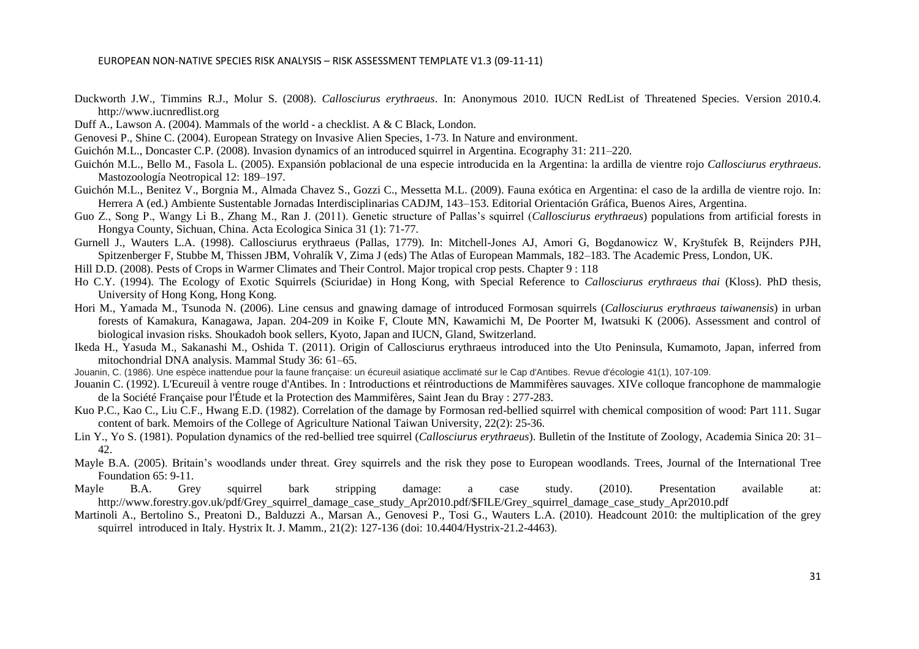- Duckworth J.W., Timmins R.J., Molur S. (2008). *Callosciurus erythraeus*. In: Anonymous 2010. IUCN RedList of Threatened Species. Version 2010.4. http://www.iucnredlist.org
- Duff A., Lawson A. (2004). Mammals of the world a checklist. A & C Black, London.
- Genovesi P., Shine C. (2004). European Strategy on Invasive Alien Species, 1-73. In Nature and environment.
- Guichón M.L., Doncaster C.P. (2008). Invasion dynamics of an introduced squirrel in Argentina. Ecography 31: 211–220.
- Guichón M.L., Bello M., Fasola L. (2005). Expansión poblacional de una especie introducida en la Argentina: la ardilla de vientre rojo *Callosciurus erythraeus*. Mastozoología Neotropical 12: 189–197.
- Guichón M.L., Benitez V., Borgnia M., Almada Chavez S., Gozzi C., Messetta M.L. (2009). Fauna exótica en Argentina: el caso de la ardilla de vientre rojo. In: Herrera A (ed.) Ambiente Sustentable Jornadas Interdisciplinarias CADJM, 143–153. Editorial Orientación Gráfica, Buenos Aires, Argentina.
- Guo Z., Song P., Wangy Li B., Zhang M., Ran J. (2011). Genetic structure of Pallas's squirrel (*Callosciurus erythraeus*) populations from artificial forests in Hongya County, Sichuan, China. Acta Ecologica Sinica 31 (1): 71-77.
- Gurnell J., Wauters L.A. (1998). Callosciurus erythraeus (Pallas, 1779). In: Mitchell-Jones AJ, Amori G, Bogdanowicz W, Kryštufek B, Reijnders PJH, Spitzenberger F, Stubbe M, Thissen JBM, Vohralík V, Zima J (eds) The Atlas of European Mammals, 182–183. The Academic Press, London, UK.
- Hill D.D. (2008). Pests of Crops in Warmer Climates and Their Control. Major tropical crop pests. Chapter 9 : 118
- Ho C.Y. (1994). The Ecology of Exotic Squirrels (Sciuridae) in Hong Kong, with Special Reference to *Callosciurus erythraeus thai* (Kloss). PhD thesis, University of Hong Kong, Hong Kong.
- Hori M., Yamada M., Tsunoda N. (2006). Line census and gnawing damage of introduced Formosan squirrels (*Callosciurus erythraeus taiwanensis*) in urban forests of Kamakura, Kanagawa, Japan. 204-209 in Koike F, Cloute MN, Kawamichi M, De Poorter M, Iwatsuki K (2006). Assessment and control of biological invasion risks. Shoukadoh book sellers, Kyoto, Japan and IUCN, Gland, Switzerland.
- Ikeda H., Yasuda M., Sakanashi M., Oshida T. (2011). Origin of Callosciurus erythraeus introduced into the Uto Peninsula, Kumamoto, Japan, inferred from mitochondrial DNA analysis. Mammal Study 36: 61–65.
- Jouanin, C. (1986). Une espèce inattendue pour la faune française: un écureuil asiatique acclimaté sur le Cap d'Antibes. Revue d'écologie 41(1), 107-109.
- Jouanin C. (1992). L'Ecureuil à ventre rouge d'Antibes. In : Introductions et réintroductions de Mammifères sauvages. XIVe colloque francophone de mammalogie de la Société Française pour l'Étude et la Protection des Mammifères, Saint Jean du Bray : 277-283.
- Kuo P.C., Kao C., Liu C.F., Hwang E.D. (1982). Correlation of the damage by Formosan red-bellied squirrel with chemical composition of wood: Part 111. Sugar content of bark. Memoirs of the College of Agriculture National Taiwan University, 22(2): 25-36.
- Lin Y., Yo S. (1981). Population dynamics of the red-bellied tree squirrel (*Callosciurus erythraeus*). Bulletin of the Institute of Zoology, Academia Sinica 20: 31– 42.
- Mayle B.A. (2005). Britain's woodlands under threat. Grey squirrels and the risk they pose to European woodlands. Trees, Journal of the International Tree Foundation 65: 9-11.
- Mayle B.A. Grey squirrel bark stripping damage: a case study. (2010). Presentation available at: http://www.forestry.gov.uk/pdf/Grey\_squirrel\_damage\_case\_study\_Apr2010.pdf/\$FILE/Grey\_squirrel\_damage\_case\_study\_Apr2010.pdf
- Martinoli A., Bertolino S., Preatoni D., Balduzzi A., Marsan A., Genovesi P., Tosi G., Wauters L.A. (2010). Headcount 2010: the multiplication of the grey squirrel introduced in Italy. Hystrix It. J. Mamm., 21(2): 127-136 (doi: 10.4404/Hystrix-21.2-4463).